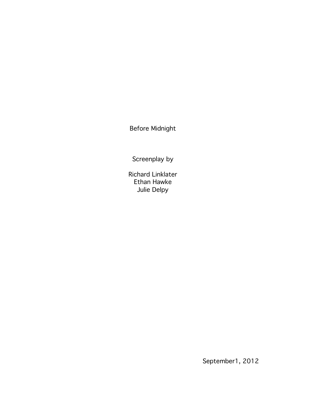Before Midnight

Screenplay by

Richard Linklater Ethan Hawke Julie Delpy

September1, 2012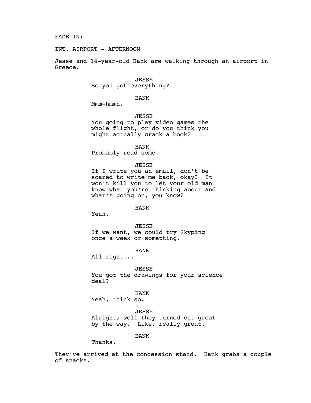FADE IN:

INT. AIRPORT - AFTERNOON

Jesse and 14-year-old Hank are walking through an airport in Greece.

### JESSE

So you got everything?

# HANK

Mmm-hmmh.

# JESSE

You going to play video games the whole flight, or do you think you might actually crack a book?

HANK

Probably read some.

# JESSE

If I write you an email, don't be scared to write me back, okay? It won't kill you to let your old man know what you're thinking about and what's going on, you know?

HANK

Yeah.

JESSE If we want, we could try Skyping once a week or something.

HANK

All right...

JESSE You got the drawings for your science deal?

HANK Yeah, think so.

JESSE Alright, well they turned out great by the way. Like, really great.

HANK

Thanks.

They've arrived at the concession stand. Hank grabs a couple of snacks.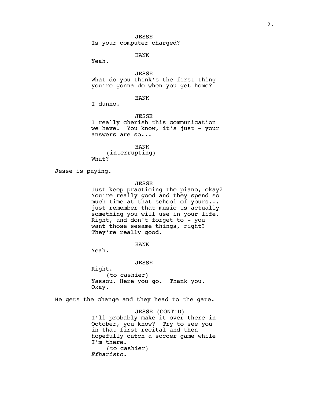Is your computer charged?

HANK

Yeah.

JESSE What do you think's the first thing you're gonna do when you get home?

# HANK

I dunno.

JESSE

I really cherish this communication we have. You know, it's just - your answers are so...

HANK (interrupting) What?

Jesse is paying.

### JESSE

Just keep practicing the piano, okay? You're really good and they spend so much time at that school of yours... just remember that music is actually something you will use in your life. Right, and don't forget to - you want those sesame things, right? They're really good.

HANK

Yeah.

JESSE

Right. (to cashier) Yassou*.* Here you go. Thank you. Okay.

He gets the change and they head to the gate.

JESSE (CONT'D) I'll probably make it over there in October, you know? Try to see you in that first recital and then hopefully catch a soccer game while I'm there. (to cashier) *Efharisto.*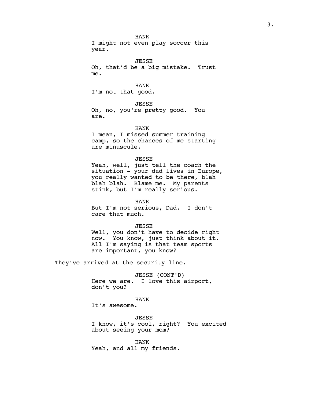HANK I might not even play soccer this year.

JESSE Oh, that'd be a big mistake. Trust me.

HANK I'm not that good.

JESSE Oh, no, you're pretty good. You are.

HANK I mean, I missed summer training camp, so the chances of me starting are minuscule.

JESSE

Yeah, well, just tell the coach the situation - your dad lives in Europe, you really wanted to be there, blah blah blah. Blame me. My parents stink, but I'm really serious.

HANK

But I'm not serious, Dad. I don't care that much.

JESSE

Well, you don't have to decide right now. You know, just think about it. All I'm saying is that team sports are important, you know?

They've arrived at the security line.

JESSE (CONT'D) Here we are. I love this airport, don't you?

HANK

It's awesome.

JESSE I know, it's cool, right? You excited about seeing your mom?

HANK Yeah, and all my friends.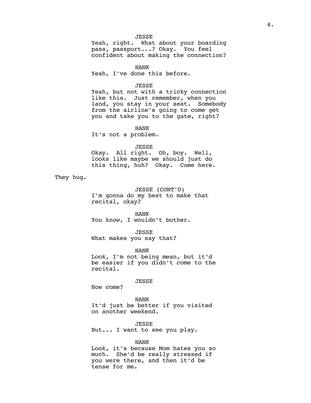# JESSE

Yeah, right. What about your boarding pass, passport...? Okay. You feel confident about making the connection?

HANK

Yeah, I've done this before.

#### JESSE

Yeah, but not with a tricky connection like this. Just remember, when you land, you stay in your seat. Somebody from the airline's going to come get you and take you to the gate, right?

HANK

It's not a problem.

### JESSE

Okay. All right. Oh, boy. Well, looks like maybe we should just do this thing, huh? Okay. Come here.

They hug.

JESSE (CONT'D) I'm gonna do my best to make that recital, okay?

HANK You know, I wouldn't bother.

JESSE

What makes you say that?

HANK

Look, I'm not being mean, but it'd be easier if you didn't come to the recital.

#### JESSE

How come?

HANK It'd just be better if you visited on another weekend.

JESSE But... I want to see you play.

#### HANK

Look, it's because Mom hates you so much. She'd be really stressed if you were there, and then it'd be tense for me.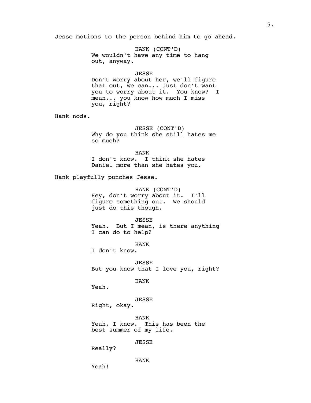Jesse motions to the person behind him to go ahead.

HANK (CONT'D) We wouldn't have any time to hang out, anyway.

#### JESSE

Don't worry about her, we'll figure that out, we can... Just don't want you to worry about it. You know? I mean... you know how much I miss you, right?

Hank nods.

JESSE (CONT'D) Why do you think she still hates me so much?

HANK I don't know. I think she hates Daniel more than she hates you.

Hank playfully punches Jesse.

HANK (CONT'D) Hey, don't worry about it. I'll figure something out. We should just do this though.

JESSE Yeah. But I mean, is there anything I can do to help?

HANK

I don't know.

JESSE But you know that I love you, right?

HANK

Yeah.

JESSE

Right, okay.

HANK Yeah, I know. This has been the best summer of my life.

JESSE

Really?

Yeah!

HANK

5.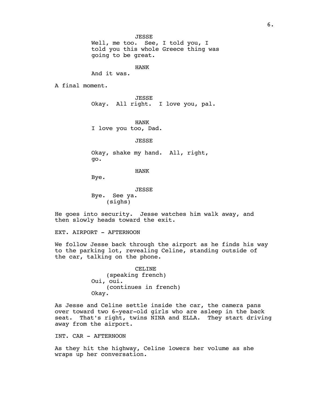Well, me too. See, I told you, I told you this whole Greece thing was going to be great.

HANK

And it was.

A final moment.

JESSE Okay. All right. I love you, pal.

HANK I love you too, Dad.

JESSE

Okay, shake my hand. All, right, go.

HANK

Bye.

JESSE Bye. See ya. (sighs)

He goes into security. Jesse watches him walk away, and then slowly heads toward the exit.

EXT. AIRPORT - AFTERNOON

We follow Jesse back through the airport as he finds his way to the parking lot, revealing Celine, standing outside of the car, talking on the phone.

> CELINE (speaking french) Oui, oui. (continues in french) Okay.

As Jesse and Celine settle inside the car, the camera pans over toward two 6-year-old girls who are asleep in the back seat. That's right, twins NINA and ELLA. They start driving away from the airport.

INT. CAR - AFTERNOON

As they hit the highway, Celine lowers her volume as she wraps up her conversation.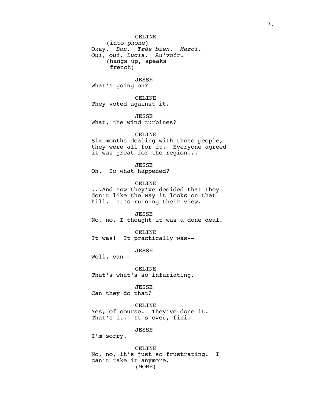CELINE (into phone) Okay. *Bon. Très bien. Merci. Oui, oui, Lucia. Au'voir.* (hangs up, speaks french)

JESSE What's going on?

CELINE They voted against it.

JESSE What, the wind turbines?

### CELINE

Six months dealing with those people, they were all for it. Everyone agreed it was great for the region...

JESSE

Oh. So what happened?

CELINE

...And now they've decided that they don't like the way it looks on that hill. It's ruining their view.

JESSE No, no, I thought it was a done deal.

CELINE It was! It practically was--

JESSE

Well, can--

CELINE That's what's so infuriating.

JESSE Can they do that?

CELINE

Yes, of course. They've done it. That's it. It's over, fini.

JESSE

I'm sorry.

CELINE No, no, it's just so frustrating. I can't take it anymore. (MORE)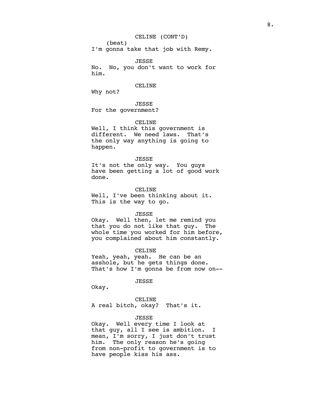# CELINE (CONT'D)

(beat) I'm gonna take that job with Remy.

JESSE No. No, you don't want to work for him.

#### CELINE

Why not?

JESSE For the government?

CELINE

Well, I think this government is different. We need laws. That's the only way anything is going to happen.

### JESSE

It's not the only way. You guys have been getting a lot of good work done.

#### CELINE

Well, I've been thinking about it. This is the way to go.

### JESSE

Okay. Well then, let me remind you that you do not like that guy. The whole time you worked for him before, you complained about him constantly.

### CELINE

Yeah, yeah, yeah. He can be an asshole, but he gets things done. That's how I'm gonna be from now on--

### JESSE

Okay.

CELINE A real bitch, okay? That's it.

# JESSE

Okay. Well every time I look at that guy, all I see is ambition. I mean, I'm sorry, I just don't trust him. The only reason he's going from non-profit to government is to have people kiss his ass.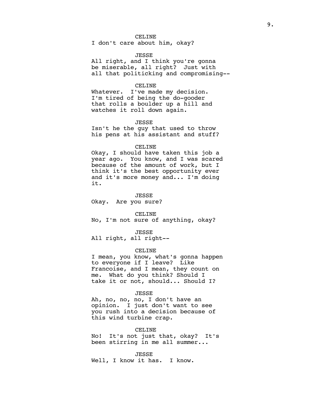I don't care about him, okay?

#### JESSE

All right, and I think you're gonna be miserable, all right? Just with all that politicking and compromising--

#### CELINE

Whatever. I've made my decision. I'm tired of being the do-gooder that rolls a boulder up a hill and watches it roll down again.

#### JESSE

Isn't he the guy that used to throw his pens at his assistant and stuff?

# CELINE

Okay, I should have taken this job a year ago. You know, and I was scared because of the amount of work, but I think it's the best opportunity ever and it's more money and... I'm doing it.

### JESSE

Okay. Are you sure?

#### CELINE

No, I'm not sure of anything, okay?

### JESSE

All right, all right--

### CELINE

I mean, you know, what's gonna happen to everyone if I leave? Like Francoise, and I mean, they count on me. What do you think? Should I take it or not, should... Should I?

# JESSE

Ah, no, no, no, I don't have an opinion. I just don't want to see you rush into a decision because of this wind turbine crap.

### CELINE

No! It's not just that, okay? It's been stirring in me all summer...

JESSE

Well, I know it has. I know.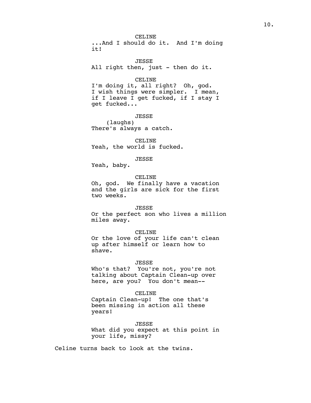CELINE ...And I should do it. And I'm doing it!

JESSE All right then, just - then do it.

CELINE

I'm doing it, all right? Oh, god. I wish things were simpler. I mean, if I leave I get fucked, if I stay I get fucked...

JESSE (laughs) There's always a catch.

CELINE Yeah, the world is fucked.

JESSE

Yeah, baby.

### CELINE

Oh, god. We finally have a vacation and the girls are sick for the first two weeks.

### JESSE

Or the perfect son who lives a million miles away.

### CELINE

Or the love of your life can't clean up after himself or learn how to shave.

### JESSE

Who's that? You're not, you're not talking about Captain Clean-up over here, are you? You don't mean--

### CELINE

Captain Clean-up! The one that's been missing in action all these years!

JESSE What did you expect at this point in your life, missy?

Celine turns back to look at the twins.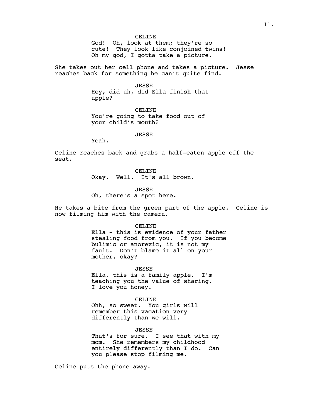CELINE God! Oh, look at them; they're so cute! They look like conjoined twins! Oh my god, I gotta take a picture.

She takes out her cell phone and takes a picture. Jesse reaches back for something he can't quite find.

> JESSE Hey, did uh, did Ella finish that apple?

CELINE You're going to take food out of your child's mouth?

JESSE

Yeah.

Celine reaches back and grabs a half-eaten apple off the seat.

> CELINE Okay. Well. It's all brown.

JESSE Oh, there's a spot here.

He takes a bite from the green part of the apple. Celine is now filming him with the camera.

CELINE

Ella - this is evidence of your father stealing food from you. If you become bulimic or anorexic, it is not my fault. Don't blame it all on your mother, okay?

JESSE

Ella, this is a family apple. I'm teaching you the value of sharing. I love you honey.

CELINE

Ohh, so sweet. You girls will remember this vacation very differently than we will.

JESSE

That's for sure. I see that with my mom. She remembers my childhood entirely differently than I do. Can you please stop filming me.

Celine puts the phone away.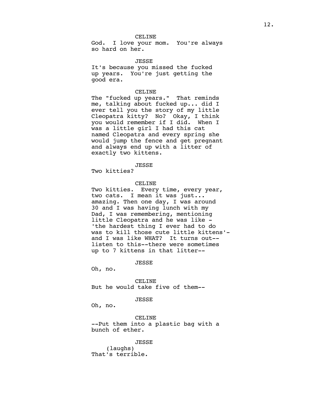# CELINE

God. I love your mom. You're always so hard on her.

JESSE

It's because you missed the fucked up years. You're just getting the good era.

### CELINE

The "fucked up years." That reminds me, talking about fucked up... did I ever tell you the story of my little Cleopatra kitty? No? Okay, I think you would remember if I did. When I was a little girl I had this cat named Cleopatra and every spring she would jump the fence and get pregnant and always end up with a litter of exactly two kittens.

JESSE

Two kitties?

### CELINE

Two kitties. Every time, every year, two cats. I mean it was just... amazing. Then one day, I was around 30 and I was having lunch with my Dad, I was remembering, mentioning little Cleopatra and he was like - 'the hardest thing I ever had to do was to kill those cute little kittens' and I was like WHAT? It turns out- listen to this--there were sometimes up to 7 kittens in that litter--

JESSE

Oh, no.

CELINE But he would take five of them--

### JESSE

Oh, no.

CELINE --Put them into a plastic bag with a bunch of ether.

JESSE

(laughs) That's terrible.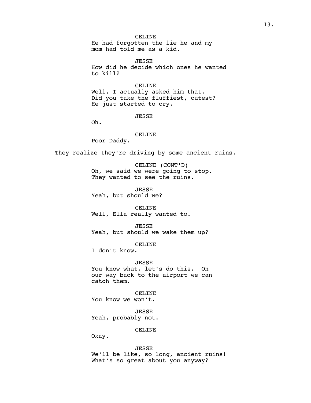### CELINE

He had forgotten the lie he and my mom had told me as a kid.

JESSE How did he decide which ones he wanted to kill?

#### CELINE

Well, I actually asked him that. Did you take the fluffiest, cutest? He just started to cry.

### JESSE

Oh.

# CELINE

Poor Daddy.

They realize they're driving by some ancient ruins.

CELINE (CONT'D) Oh, we said we were going to stop. They wanted to see the ruins.

JESSE Yeah, but should we?

CELINE Well, Ella really wanted to.

JESSE Yeah, but should we wake them up?

CELINE

I don't know.

JESSE You know what, let's do this. On our way back to the airport we can catch them.

CELINE You know we won't.

JESSE Yeah, probably not.

CELINE

Okay.

JESSE We'll be like, so long, ancient ruins! What's so great about you anyway?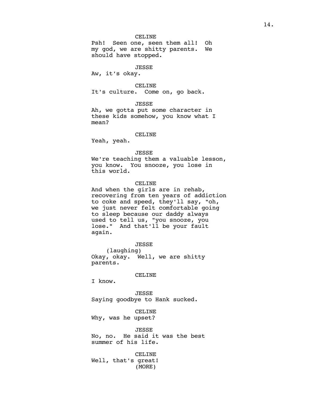Psh! Seen one, seen them all! Oh my god, we are shitty parents. We should have stopped.

# JESSE

Aw, it's okay.

#### CELINE

It's culture. Come on, go back.

# JESSE

Ah, we gotta put some character in these kids somehow, you know what I mean?

# CELINE

Yeah, yeah.

### JESSE

We're teaching them a valuable lesson, you know. You snooze, you lose in this world.

### CELINE

And when the girls are in rehab, recovering from ten years of addiction to coke and speed, they'll say, "oh, we just never felt comfortable going to sleep because our daddy always used to tell us, "you snooze, you lose." And that'll be your fault again.

JESSE

(laughing) Okay, okay. Well, we are shitty parents.

#### CELINE

I know.

JESSE Saying goodbye to Hank sucked.

CELINE Why, was he upset?

JESSE No, no. He said it was the best summer of his life.

CELINE Well, that's great! (MORE)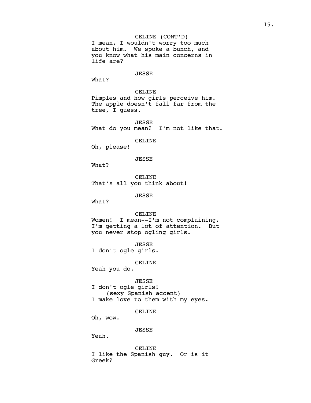CELINE (CONT'D) I mean, I wouldn't worry too much about him. We spoke a bunch, and you know what his main concerns in life are?

### JESSE

What?

CELINE Pimples and how girls perceive him. The apple doesn't fall far from the tree, I guess.

JESSE<br>What do you mean? I'm not like that.

CELINE

Oh, please!

# JESSE

What?

CELINE That's all you think about!

JESSE

What?

CELINE

Women! I mean--I'm not complaining. I'm getting a lot of attention. But you never stop ogling girls.

JESSE I don't ogle girls.

CELINE

Yeah you do.

JESSE

I don't ogle girls! (sexy Spanish accent) I make love to them with my eyes.

CELINE

Oh, wow.

### JESSE

Yeah.

CELINE I like the Spanish guy. Or is it Greek?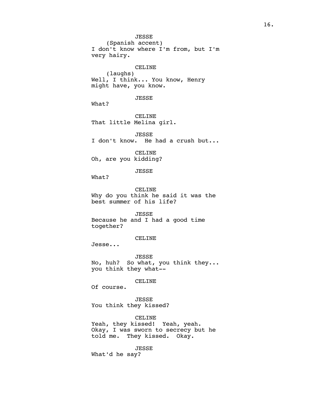JESSE (Spanish accent) I don't know where I'm from, but I'm very hairy. CELINE (laughs) Well, I think... You know, Henry might have, you know. JESSE What? CELINE That little Melina girl. JESSE I don't know. He had a crush but... CELINE Oh, are you kidding? JESSE What? CELINE Why do you think he said it was the best summer of his life? JESSE Because he and I had a good time together? CELINE Jesse... JESSE No, huh? So what, you think they... you think they what-- CELINE Of course. JESSE You think they kissed? CELINE Yeah, they kissed! Yeah, yeah. Okay, I was sworn to secrecy but he told me. They kissed. Okay.

JESSE

What'd he say?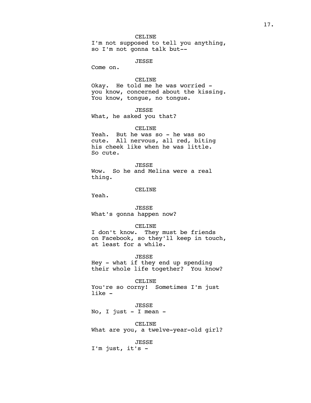# CELINE

I'm not supposed to tell you anything, so I'm not gonna talk but--

# JESSE

Come on.

# CELINE

Okay. He told me he was worried you know, concerned about the kissing. You know, tongue, no tongue.

JESSE What, he asked you that?

### CELINE

Yeah. But he was so - he was so<br>cute. All nervous, all red. bit All nervous, all red, biting his cheek like when he was little. So cute.

# JESSE

Wow. So he and Melina were a real thing.

#### CELINE

Yeah.

# JESSE What's gonna happen now?

#### CELINE

I don't know. They must be friends on Facebook, so they'll keep in touch, at least for a while.

### JESSE

Hey - what if they end up spending their whole life together? You know?

### CELINE

You're so corny! Sometimes I'm just like -

JESSE No, I just - I mean -

CELINE What are you, a twelve-year-old girl?

# JESSE

I'm just, it's -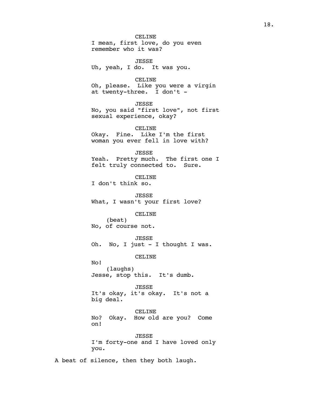CELINE I mean, first love, do you even remember who it was? JESSE Uh, yeah, I do. It was you. CELINE Oh, please. Like you were a virgin at twenty-three. I don't -JESSE No, you said "first love", not first sexual experience, okay? CELINE Okay. Fine. Like I'm the first woman you ever fell in love with? JESSE Yeah. Pretty much. The first one I felt truly connected to. Sure. CELINE I don't think so. JESSE What, I wasn't your first love? CELINE (beat) No, of course not. JESSE Oh. No, I just - I thought I was. CELINE No! (laughs) Jesse, stop this. It's dumb. JESSE It's okay, it's okay. It's not a big deal. CELINE

No? Okay. How old are you? Come on!

JESSE I'm forty-one and I have loved only you.

A beat of silence, then they both laugh.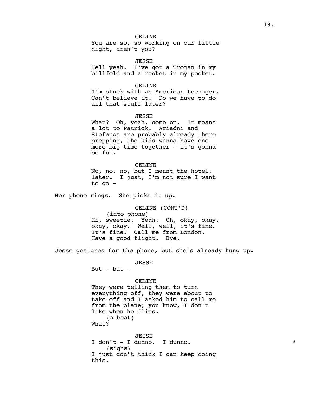# CELINE

You are so, so working on our little night, aren't you?

JESSE

Hell yeah. I've got a Trojan in my billfold and a rocket in my pocket.

#### CELINE

I'm stuck with an American teenager. Can't believe it. Do we have to do all that stuff later?

### JESSE

What? Oh, yeah, come on. It means a lot to Patrick. Ariadni and Stefanos are probably already there prepping, the kids wanna have one more big time together - it's gonna be fun.

CELINE No, no, no, but I meant the hotel, later. I just, I'm not sure I want to go -

Her phone rings. She picks it up.

CELINE (CONT'D) (into phone) Hi, sweetie. Yeah. Oh, okay, okay, okay, okay. Well, well, it's fine. It's fine! Call me from London. Have a good flight. Bye.

Jesse gestures for the phone, but she's already hung up.

JESSE

But  $-$  but  $-$ 

#### CELINE

They were telling them to turn everything off, they were about to take off and I asked him to call me from the plane; you know, I don't like when he flies. (a beat) What?

JESSE I don't - I dunno. I dunno. \* (sighs) I just don't think I can keep doing this.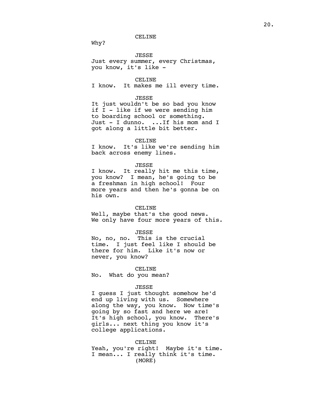# CELINE

Why?

#### JESSE

Just every summer, every Christmas, you know, it's like -

### CELINE

I know. It makes me ill every time.

### JESSE

It just wouldn't be so bad you know if I - like if we were sending him to boarding school or something. Just - I dunno. ...If his mom and I got along a little bit better.

#### CELINE

I know. It's like we're sending him back across enemy lines.

# JESSE

I know. It really hit me this time, you know? I mean, he's going to be a freshman in high school! Four more years and then he's gonna be on his own.

### CELINE

Well, maybe that's the good news. We only have four more years of this.

#### JESSE

No, no, no. This is the crucial time. I just feel like I should be there for him. Like it's now or never, you know?

### CELINE

No. What do you mean?

#### JESSE

I guess I just thought somehow he'd end up living with us. Somewhere along the way, you know. Now time's going by so fast and here we are! It's high school, you know. There's girls... next thing you know it's college applications.

# CELINE

Yeah, you're right! Maybe it's time. I mean... I really think it's time. (MORE)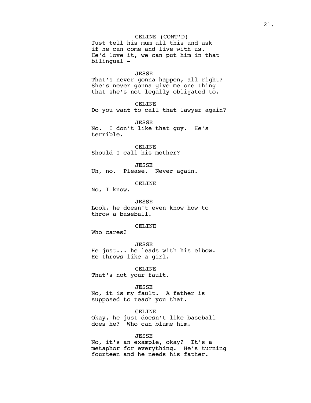CELINE (CONT'D) Just tell his mum all this and ask if he can come and live with us. He'd love it, we can put him in that

### JESSE

That's never gonna happen, all right? She's never gonna give me one thing that she's not legally obligated to.

CELINE Do you want to call that lawyer again?

JESSE No. I don't like that guy. He's terrible.

CELINE Should I call his mother?

JESSE

Uh, no. Please. Never again.

CELINE

No, I know.

bilingual -

JESSE Look, he doesn't even know how to throw a baseball.

# CELINE

Who cares?

JESSE He just... he leads with his elbow. He throws like a girl.

CELINE That's not your fault.

#### JESSE

No, it is my fault. A father is supposed to teach you that.

CELINE

Okay, he just doesn't like baseball does he? Who can blame him.

# JESSE

No, it's an example, okay? It's a metaphor for everything. He's turning fourteen and he needs his father.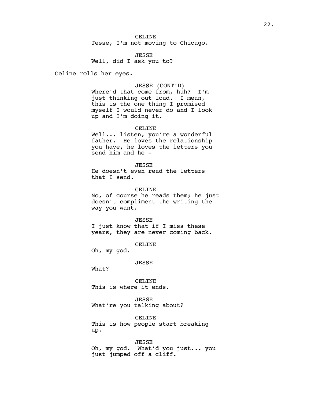CELINE Jesse, I'm not moving to Chicago.

JESSE Well, did I ask you to?

Celine rolls her eyes.

### JESSE (CONT'D)

Where'd that come from, huh? I'm just thinking out loud. I mean, this is the one thing I promised myself I would never do and I look up and I'm doing it.

### CELINE

Well... listen, you're a wonderful father. He loves the relationship you have, he loves the letters you send him and he -

### JESSE

He doesn't even read the letters that I send.

#### CELINE

No, of course he reads them; he just doesn't compliment the writing the way you want.

#### JESSE

I just know that if I miss these years, they are never coming back.

CELINE

Oh, my god.

#### JESSE

What?

CELINE This is where it ends.

# JESSE What're you talking about?

CELINE This is how people start breaking up.

# JESSE Oh, my god. What'd you just... you just jumped off a cliff.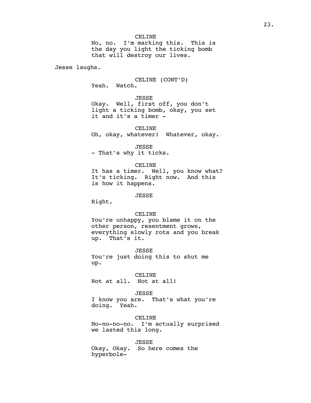No, no. I'm marking this. This is the day you light the ticking bomb that will destroy our lives.

Jesse laughs.

CELINE (CONT'D) Yeah. Watch.

JESSE

Okay. Well, first off, you don't light a ticking bomb, okay, you set it and it's a timer -

CELINE

Oh, okay, whatever! Whatever, okay.

JESSE - That's why it ticks.

#### CELINE

It has a timer. Well, you know what? It's ticking. Right now. And this is how it happens.

JESSE

Right.

### CELINE

You're unhappy, you blame it on the other person, resentment grows, everything slowly rots and you break up. That's it.

JESSE You're just doing this to shut me up.

CELINE

Not at all. Not at all!

### JESSE

I know you are. That's what you're doing. Yeah.

CELINE No-no-no-no. I'm actually surprised we lasted this long.

JESSE Okay, Okay. So here comes the hyperbole-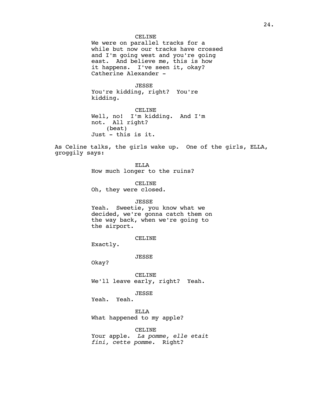### CELINE

We were on parallel tracks for a while but now our tracks have crossed and I'm going west and you're going east. And believe me, this is how it happens. I've seen it, okay? Catherine Alexander -

JESSE You're kidding, right? You're kidding.

CELINE Well, no! I'm kidding. And I'm not. All right? (beat) Just - this is it.

As Celine talks, the girls wake up. One of the girls, ELLA, groggily says:

> ELLA How much longer to the ruins?

> > CELINE

Oh, they were closed.

### JESSE

Yeah. Sweetie, you know what we decided, we're gonna catch them on the way back, when we're going to the airport.

### CELINE

Exactly.

JESSE

Okay?

CELINE We'll leave early, right? Yeah.

JESSE

Yeah. Yeah.

ELLA What happened to my apple?

CELINE Your apple. *La pomme, elle etait fini, cette pomme.* Right?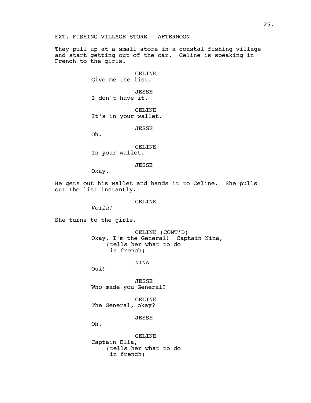They pull up at a small store in a coastal fishing village and start getting out of the car. Celine is speaking in French to the girls.

> CELINE Give me the list.

JESSE I don't have it.

CELINE It's in your wallet.

JESSE

Oh.

CELINE In your wallet.

JESSE

Okay.

He gets out his wallet and hands it to Celine. She pulls out the list instantly.

CELINE

*Voilà!* 

She turns to the girls.

CELINE (CONT'D) Okay, I'm the General! Captain Nina, (tells her what to do in french)

NINA

Oui!

JESSE Who made you General?

CELINE The General, okay?

JESSE

Oh.

CELINE Captain Ella, (tells her what to do in french)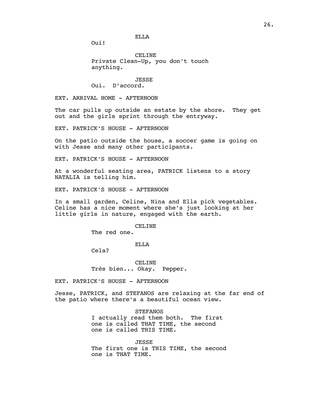ELLA

Oui!

CELINE Private Clean-Up, you don't touch anything.

### JESSE

Oui. D'accord.

EXT. ARRIVAL HOME - AFTERNOON

The car pulls up outside an estate by the shore. They get out and the girls sprint through the entryway.

EXT. PATRICK'S HOUSE - AFTERNOON

On the patio outside the house, a soccer game is going on with Jesse and many other participants.

EXT. PATRICK'S HOUSE - AFTERNOON

At a wonderful seating area, PATRICK listens to a story NATALIA is telling him.

EXT. PATRICK'S HOUSE - AFTERNOON

In a small garden, Celine, Nina and Ella pick vegetables. Celine has a nice moment where she's just looking at her little girls in nature, engaged with the earth.

### CELINE

The red one.

#### ELLA

Cela?

CELINE Tr*è*s bien... Okay. Pepper.

EXT. PATRICK'S HOUSE - AFTERNOON

Jesse, PATRICK, and STEFANOS are relaxing at the far end of the patio where there's a beautiful ocean view.

**STEFANOS** 

I actually read them both. The first one is called THAT TIME, the second one is called THIS TIME.

JESSE The first one is THIS TIME, the second one is THAT TIME.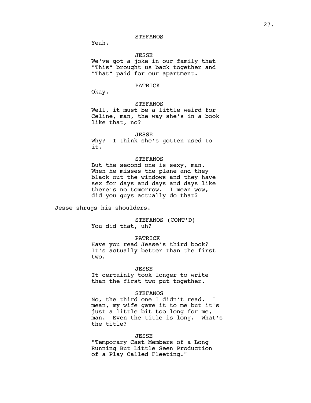Yeah.

#### JESSE

We've got a joke in our family that "This" brought us back together and "That" paid for our apartment.

# PATRICK

Okay.

# **STEFANOS**

Well, it must be a little weird for Celine, man, the way she's in a book like that, no?

JESSE

Why? I think she's gotten used to it.

### **STEFANOS**

But the second one is sexy, man. When he misses the plane and they black out the windows and they have sex for days and days and days like there's no tomorrow. I mean wow, did you guys actually do that?

Jesse shrugs his shoulders.

STEFANOS (CONT'D) You did that, uh?

### PATRICK

Have you read Jesse's third book? It's actually better than the first two.

### JESSE

It certainly took longer to write than the first two put together.

### **STEFANOS**

No, the third one I didn't read. I mean, my wife gave it to me but it's just a little bit too long for me, man. Even the title is long. What's the title?

### JESSE

"Temporary Cast Members of a Long Running But Little Seen Production of a Play Called Fleeting."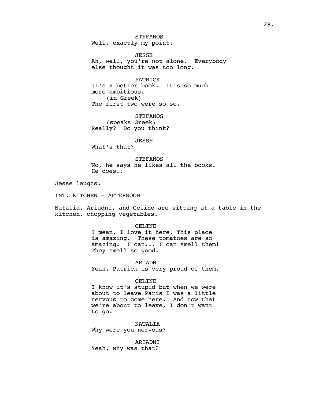**STEFANOS** Well, exactly my point.

JESSE Ah, well, you're not alone. Everybody else thought it was too long.

PATRICK It's a better book. It's so much more ambitious. (in Greek) The first two were so so.

**STEFANOS** (speaks Greek) Really? Do you think?

JESSE

What's that?

**STEFANOS** No, he says he likes all the books. He does..

Jesse laughs.

INT. KITCHEN - AFTERNOON

Natalia, Ariadni, and Celine are sitting at a table in the kitchen, chopping vegetables.

### CELINE

I mean, I love it here. This place is amazing. These tomatoes are so amazing. I can... I can smell them! They smell so good.

ARIADNI Yeah, Patrick is very proud of them.

### CELINE

I know it's stupid but when we were about to leave Paris I was a little nervous to come here. And now that we're about to leave, I don't want to go.

NATALIA Why were you nervous?

ARIADNI Yeah, why was that?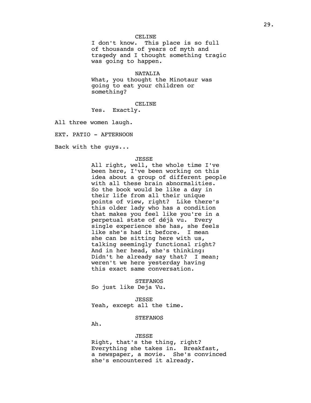# CELINE

I don't know. This place is so full of thousands of years of myth and tragedy and I thought something tragic was going to happen.

NATALIA

What, you thought the Minotaur was going to eat your children or something?

CELINE

Yes. Exactly.

All three women laugh.

EXT. PATIO - AFTERNOON

Back with the guys...

### JESSE

All right, well, the whole time I've been here, I've been working on this idea about a group of different people with all these brain abnormalities. So the book would be like a day in their life from all their unique points of view, right? Like there's this older lady who has a condition that makes you feel like you're in a perpetual state of déjà vu. Every single experience she has, she feels like she's had it before. I mean she can be sitting here with us, talking seemingly functional right? And in her head, she's thinking: Didn't he already say that? I mean; weren't we here yesterday having this exact same conversation.

**STEFANOS** So just like Deja Vu.

JESSE Yeah, except all the time.

# **STEFANOS**

Ah.

# JESSE

Right, that's the thing, right? Everything she takes in. Breakfast, a newspaper, a movie. She's convinced she's encountered it already.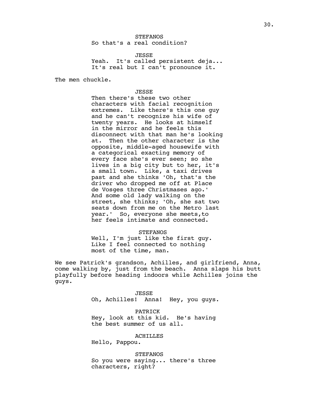# **STEFANOS** So that's a real condition?

JESSE Yeah. It's called persistent deja... It's real but I can't pronounce it.

The men chuckle.

### JESSE

Then there's these two other characters with facial recognition extremes. Like there's this one guy and he can't recognize his wife of twenty years. He looks at himself in the mirror and he feels this disconnect with that man he's looking at. Then the other character is the opposite, middle-aged housewife with a categorical exacting memory of every face she's ever seen; so she lives in a big city but to her, it's a small town. Like, a taxi drives past and she thinks 'Oh, that's the driver who dropped me off at Place de Vosges three Christmases ago.' And some old lady walking on the street, she thinks; 'Oh, she sat two seats down from me on the Metro last year.' So, everyone she meets,to her feels intimate and connected.

#### STEFANOS

Well, I'm just like the first guy. Like I feel connected to nothing most of the time, man.

We see Patrick's grandson, Achilles, and girlfriend, Anna, come walking by, just from the beach. Anna slaps his butt playfully before heading indoors while Achilles joins the guys.

> JESSE Oh, Achilles! Anna! Hey, you guys.

PATRICK Hey, look at this kid. He's having the best summer of us all.

# ACHILLES

Hello, Pappou.

STEFANOS So you were saying... there's three characters, right?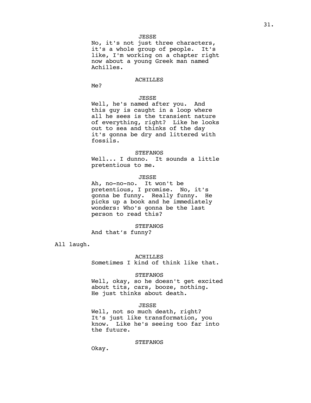No, it's not just three characters, it's a whole group of people. It's like, I'm working on a chapter right now about a young Greek man named Achilles.

### ACHILLES

Me?

# JESSE

Well, he's named after you. And this guy is caught in a loop where all he sees is the transient nature of everything, right? Like he looks out to sea and thinks of the day it's gonna be dry and littered with fossils.

### **STEFANOS**

Well... I dunno. It sounds a little pretentious to me.

### JESSE

Ah, no-no-no. It won't be pretentious, I promise. No, it's gonna be funny. Really funny. He picks up a book and he immediately wonders: Who's gonna be the last person to read this?

**STEFANOS** And that's funny?

All laugh.

#### ACHILLES

Sometimes I kind of think like that.

### STEFANOS

Well, okay, so he doesn't get excited about tits, cars, booze, nothing. He just thinks about death.

# JESSE

Well, not so much death, right? It's just like transformation, you know. Like he's seeing too far into the future.

### STEFANOS

Okay.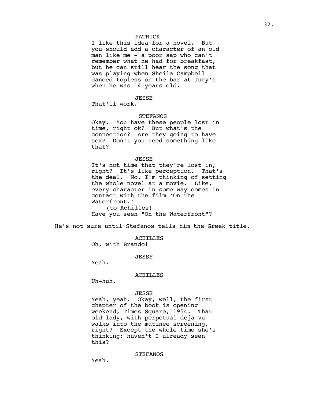# PATRICK

I like this idea for a novel. But you should add a character of an old man like me - a poor sap who can't remember what he had for breakfast, but he can still hear the song that was playing when Sheila Campbell danced topless on the bar at Jury's when he was 14 years old.

# JESSE

That'll work.

# **STEFANOS**

Okay. You have these people lost in time, right ok? But what's the connection? Are they going to have sex? Don't you need something like that?

#### JESSE

It's not time that they're lost in, right? It's like perception. That's the deal. No, I'm thinking of setting the whole novel at a movie. Like, every character in some way comes in contact with the film 'On the Waterfront.' (to Achilles)

Have you seen "On the Waterfront"?

He's not sure until Stefanos tells him the Greek title.

ACHILLES

Oh, with Brando!

JESSE

Yeah.

#### ACHILLES

Uh-huh.

# JESSE

Yeah, yeah. Okay, well, the first chapter of the book is opening weekend, Times Square, 1954. That old lady, with perpetual deja vu walks into the matinee screening, right? Except the whole time she's thinking: haven't I already seen this?

STEFANOS

Yeah.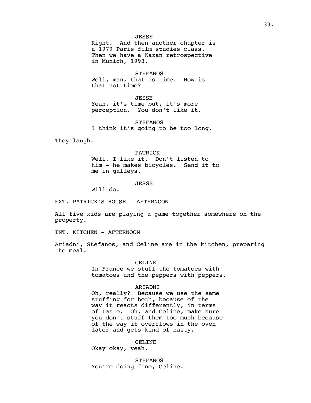### JESSE

Right. And then another chapter is a 1979 Paris film studies class. Then we have a Kazan retrospective in Munich, 1993.

STEFANOS Well, man, that is time. How is that not time?

JESSE Yeah, it's time but, it's more perception. You don't like it.

STEFANOS I think it's going to be too long.

They laugh.

PATRICK Well, I like it. Don't listen to him - he makes bicycles. Send it to me in galleys.

JESSE

Will do.

EXT. PATRICK'S HOUSE - AFTERNOON

All five kids are playing a game together somewhere on the property.

INT. KITCHEN - AFTERNOON

Ariadni, Stefanos, and Celine are in the kitchen, preparing the meal.

CELINE

In France we stuff the tomatoes with tomatoes and the peppers with peppers.

### ARIADNI

Oh, really? Because we use the same stuffing for both, because of the way it reacts differently, in terms of taste. Oh, and Celine, make sure you don't stuff them too much because of the way it overflows in the oven later and gets kind of nasty.

CELINE

Okay okay, yeah.

**STEFANOS** You're doing fine, Celine.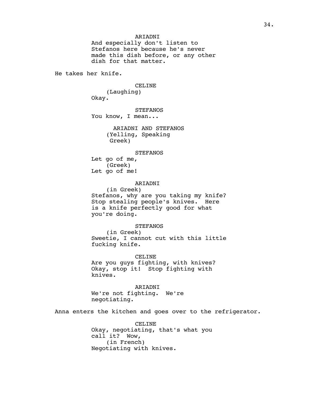# ARIADNI

And especially don't listen to Stefanos here because he's never made this dish before, or any other dish for that matter.

He takes her knife.

CELINE (Laughing) Okay.

**STEFANOS** You know, I mean...

> ARIADNI AND STEFANOS (Yelling, Speaking Greek)

### **STEFANOS**

Let go of me, (Greek) Let go of me!

### ARIADNI

(in Greek) Stefanos, why are you taking my knife? Stop stealing people's knives. Here is a knife perfectly good for what you're doing.

### **STEFANOS**

(in Greek) Sweetie, I cannot cut with this little fucking knife.

CELINE Are you guys fighting, with knives? Okay, stop it! Stop fighting with knives.

ARIADNI We're not fighting. We're negotiating.

Anna enters the kitchen and goes over to the refrigerator.

CELINE Okay, negotiating, that's what you call it? Wow, (in French) Negotiating with knives.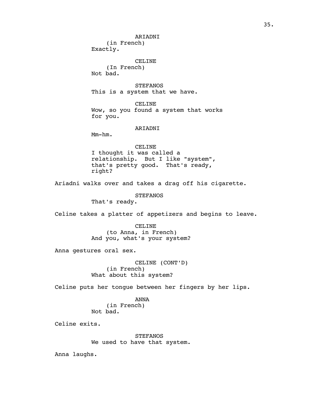ARIADNI (in French) Exactly.

CELINE

(In French) Not bad.

STEFANOS This is a system that we have.

CELINE Wow, so you found a system that works for you.

# ARIADNI

Mm-hm.

CELINE

I thought it was called a relationship. But I like "system", that's pretty good. That's ready, right?

Ariadni walks over and takes a drag off his cigarette.

**STEFANOS** 

That's ready.

Celine takes a platter of appetizers and begins to leave.

CELINE (to Anna, in French) And you, what's your system?

Anna gestures oral sex.

CELINE (CONT'D) (in French) What about this system?

Celine puts her tongue between her fingers by her lips.

ANNA (in French) Not bad.

Celine exits.

**STEFANOS** We used to have that system.

Anna laughs.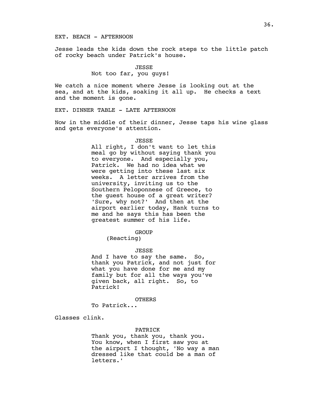## EXT. BEACH - AFTERNOON

Jesse leads the kids down the rock steps to the little patch of rocky beach under Patrick's house.

> JESSE Not too far, you guys!

We catch a nice moment where Jesse is looking out at the sea, and at the kids, soaking it all up. He checks a text and the moment is gone.

EXT. DINNER TABLE - LATE AFTERNOON

Now in the middle of their dinner, Jesse taps his wine glass and gets everyone's attention.

#### JESSE

All right, I don't want to let this meal go by without saying thank you to everyone. And especially you, Patrick. We had no idea what we were getting into these last six weeks. A letter arrives from the university, inviting us to the Southern Peloponnese of Greece, to the guest house of a great writer? 'Sure, why not?' And then at the airport earlier today, Hank turns to me and he says this has been the greatest summer of his life.

## GROUP

(Reacting)

# JESSE

And I have to say the same. So, thank you Patrick, and not just for what you have done for me and my family but for all the ways you've given back, all right. So, to Patrick!

## **OTHERS**

To Patrick...

Glasses clink.

# PATRICK

Thank you, thank you, thank you. You know, when I first saw you at the airport I thought, 'No way a man dressed like that could be a man of letters.'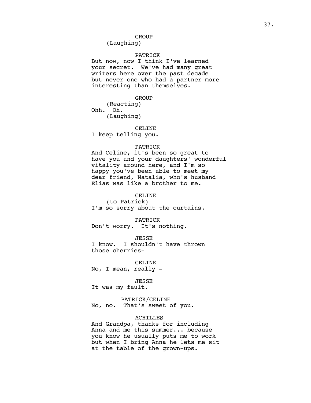(Laughing)

## PATRICK

But now, now I think I've learned your secret. We've had many great writers here over the past decade but never one who had a partner more interesting than themselves.

GROUP

(Reacting) Ohh. Oh. (Laughing)

#### CELINE

I keep telling you.

#### PATRICK

And Celine, it's been so great to have you and your daughters' wonderful vitality around here, and I'm so happy you've been able to meet my dear friend, Natalia, who's husband Elias was like a brother to me.

## CELINE

(to Patrick) I'm so sorry about the curtains.

PATRICK

Don't worry. It's nothing.

JESSE

I know. I shouldn't have thrown those cherries-

CELINE No, I mean, really -

### JESSE

It was my fault.

PATRICK/CELINE No, no. That's sweet of you.

## ACHILLES

And Grandpa, thanks for including Anna and me this summer... because you know he usually puts me to work but when I bring Anna he lets me sit at the table of the grown-ups.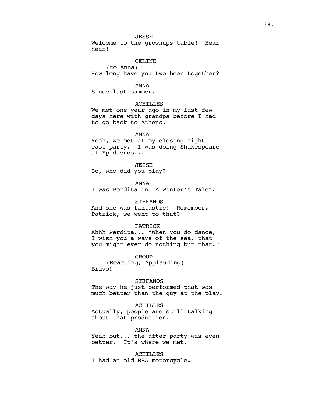Welcome to the grownups table! Hear hear!

## CELINE

(to Anna) How long have you two been together?

## ANNA

Since last summer.

## ACHILLES

We met one year ago in my last few days here with grandpa before I had to go back to Athens.

ANNA

Yeah, we met at my closing night cast party. I was doing Shakespeare at Epidavros...

## JESSE

So, who did you play?

ANNA

I was Perdita in "A Winter's Tale".

## **STEFANOS**

And she was fantastic! Remember, Patrick, we went to that?

#### PATRICK

Ahhh Perdita... "When you do dance, I wish you a wave of the sea, that you might ever do nothing but that."

GROUP

(Reacting, Applauding) Bravo!

### **STEFANOS**

The way he just performed that was much better than the guy at the play!

## ACHILLES

Actually, people are still talking about that production.

#### ANNA

Yeah but... the after party was even better. It's where we met.

ACHILLES I had an old BSA motorcycle.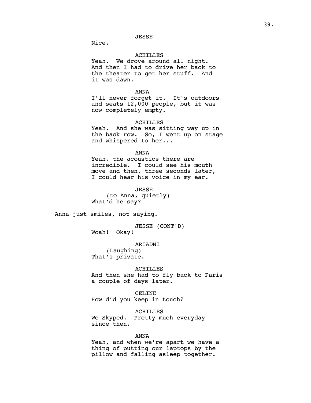JESSE

Nice.

#### ACHILLES

Yeah. We drove around all night. And then I had to drive her back to the theater to get her stuff. And it was dawn.

## ANNA

I'll never forget it. It's outdoors and seats 12,000 people, but it was now completely empty.

#### ACHILLES

Yeah. And she was sitting way up in the back row. So, I went up on stage and whispered to her...

#### ANNA

Yeah, the acoustics there are incredible. I could see his mouth move and then, three seconds later, I could hear his voice in my ear.

JESSE (to Anna, quietly) What'd he say?

Anna just smiles, not saying.

JESSE (CONT'D)<br>Okay! Woah!

#### ARIADNI

(Laughing) That's private.

## **ACHILLES**

And then she had to fly back to Paris a couple of days later.

#### CELINE

How did you keep in touch?

ACHILLES

We Skyped. Pretty much everyday since then.

## ANNA

Yeah, and when we're apart we have a thing of putting our laptops by the pillow and falling asleep together.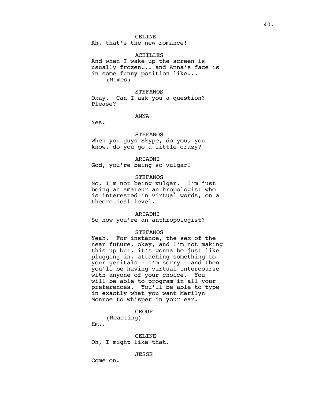Ah, that's the new romance!

#### ACHILLES

And when I wake up the screen is usually frozen... and Anna's face is in some funny position like... (Mimes)

## **STEFANOS**

Okay. Can I ask you a question? Please?

# ANNA

Yes.

## **STEFANOS**

When you guys Skype, do you, you know, do you go a little crazy?

## ARIADNI

God, you're being so vulgar!

## **STEFANOS**

No, I'm not being vulgar. I'm just being an amateur anthropologist who is interested in virtual words, on a theoretical level.

#### ARIADNI

So now you're an anthropologist?

## STEFANOS

Yeah. For instance, the sex of the near future, okay, and I'm not making this up but, it's gonna be just like plugging in, attaching something to your genitals - I'm sorry - and then you'll be having virtual intercourse with anyone of your choice. You will be able to program in all your preferences. You'll be able to type in exactly what you want Marilyn Monroe to whisper in your ear.

## GROUP

(Reacting)

Hm..

CELINE Oh, I might like that.

JESSE

Come on.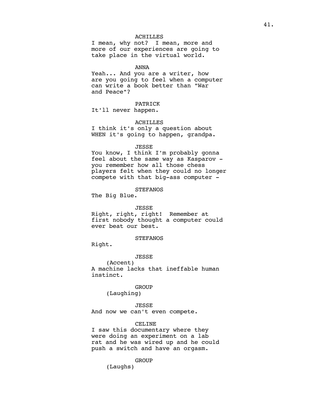## ACHILLES

I mean, why not? I mean, more and more of our experiences are going to take place in the virtual world.

## ANNA

Yeah... And you are a writer, how are you going to feel when a computer can write a book better than "War and Peace"?

# PATRICK

It'll never happen.

## ACHILLES

I think it's only a question about WHEN it's going to happen, grandpa.

#### JESSE

You know, I think I'm probably gonna feel about the same way as Kasparov you remember how all those chess players felt when they could no longer compete with that big-ass computer -

## **STEFANOS**

The Big Blue.

#### JESSE

Right, right, right! Remember at first nobody thought a computer could ever beat our best.

## **STEFANOS**

Right.

#### JESSE

(Accent) A machine lacks that ineffable human instinct.

## GROUP

(Laughing)

## JESSE

And now we can't even compete.

#### CELINE

I saw this documentary where they were doing an experiment on a lab rat and he was wired up and he could push a switch and have an orgasm.

## **GROUP**

(Laughs)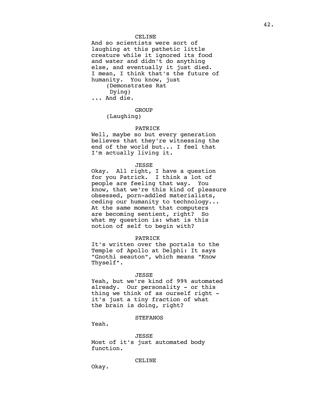And so scientists were sort of laughing at this pathetic little creature while it ignored its food and water and didn't do anything else, and eventually it just died. I mean, I think that's the future of humanity. You know, just (Demonstrates Rat Dying) ... And die.

#### GROUP

(Laughing)

#### PATRICK

Well, maybe so but every generation believes that they're witnessing the end of the world but... I feel that I'm actually living it.

## JESSE

Okay. All right, I have a question for you Patrick. I think a lot of people are feeling that way. You know, that we're this kind of pleasure obsessed, porn-addled materialists, ceding our humanity to technology... At the same moment that computers are becoming sentient, right? So what my question is: what is this notion of self to begin with?

## PATRICK

It's written over the portals to the Temple of Apollo at Delphi: It says "Gnothi seauton", which means "Know Thyself".

#### JESSE

Yeah, but we're kind of 99% automated already. Our personality - or this thing we think of as ourself right it's just a tiny fraction of what the brain is doing, right?

# **STEFANOS**

Yeah.

JESSE Most of it's just automated body function.

## CELINE

Okay.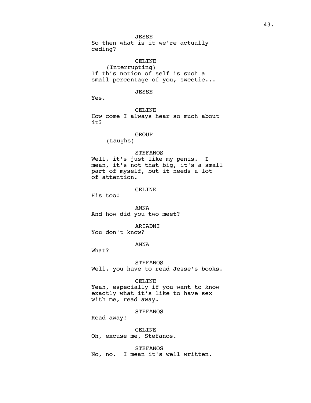JESSE So then what is it we're actually ceding?

CELINE (Interrupting) If this notion of self is such a small percentage of you, sweetie...

## JESSE

Yes.

CELINE How come I always hear so much about it?

# **GROUP**

(Laughs)

## **STEFANOS**

Well, it's just like my penis. I mean, it's not that big, it's a small part of myself, but it needs a lot of attention.

#### CELINE

His too!

ANNA And how did you two meet?

ARIADNI You don't know?

## ANNA

What?

#### STEFANOS

Well, you have to read Jesse's books.

#### CELINE

Yeah, especially if you want to know exactly what it's like to have sex with me, read away.

**STEFANOS** 

Read away!

CELINE Oh, excuse me, Stefanos.

**STEFANOS** No, no. I mean it's well written.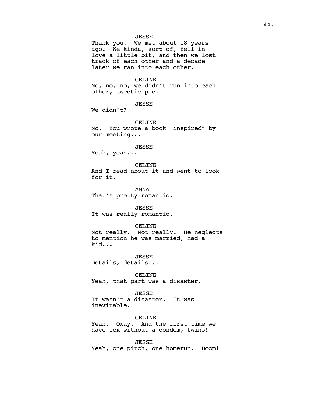## JESSE

Thank you. We met about 18 years ago. We kinda, sort of, fell in love a little bit, and then we lost track of each other and a decade later we ran into each other.

#### CELINE

No, no, no, we didn't run into each other, sweetie-pie.

JESSE

We didn't?

CELINE No. You wrote a book "inspired" by our meeting...

#### JESSE

Yeah, yeah...

## CELINE

And I read about it and went to look for it.

ANNA That's pretty romantic.

JESSE It was really romantic.

## CELINE

Not really. Not really. He neglects to mention he was married, had a kid...

JESSE Details, details...

CELINE Yeah, that part was a disaster.

JESSE

It wasn't a disaster. It was inevitable.

CELINE Yeah. Okay. And the first time we have sex without a condom, twins!

JESSE Yeah, one pitch, one homerun. Boom!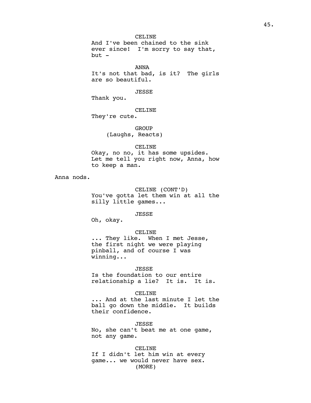CELINE And I've been chained to the sink ever since! I'm sorry to say that, but -

ANNA It's not that bad, is it? The girls are so beautiful.

JESSE

Thank you.

CELINE

They're cute.

**GROUP** (Laughs, Reacts)

CELINE Okay, no no, it has some upsides. Let me tell you right now, Anna, how to keep a man.

Anna nods.

CELINE (CONT'D) You've gotta let them win at all the silly little games...

JESSE

Oh, okay.

CELINE

... They like. When I met Jesse, the first night we were playing pinball, and of course I was winning...

JESSE

Is the foundation to our entire relationship a lie? It is. It is.

CELINE

... And at the last minute I let the ball go down the middle. It builds their confidence.

JESSE

No, she can't beat me at one game, not any game.

CELINE If I didn't let him win at every game... we would never have sex. (MORE)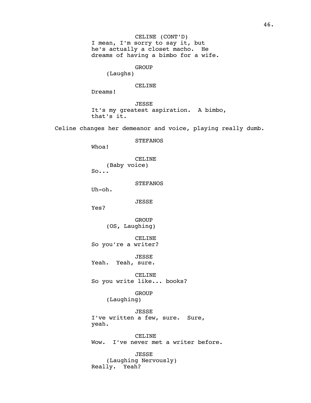# **GROUP**

(Laughs)

## CELINE

Dreams!

JESSE It's my greatest aspiration. A bimbo, that's it.

Celine changes her demeanor and voice, playing really dumb.

**STEFANOS** 

Whoa!

CELINE (Baby voice)  $So...$ 

**STEFANOS** 

Uh-oh.

JESSE

Yes?

GROUP (OS, Laughing)

CELINE So you're a writer?

JESSE Yeah. Yeah, sure.

CELINE So you write like... books?

> GROUP (Laughing)

JESSE I've written a few, sure. Sure, yeah.

CELINE Wow. I've never met a writer before.

JESSE (Laughing Nervously) Really. Yeah?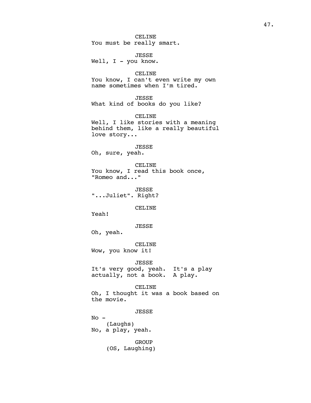CELINE You must be really smart.

JESSE Well, I - you know.

#### CELINE

You know, I can't even write my own name sometimes when I'm tired.

## JESSE

What kind of books do you like?

CELINE

Well, I like stories with a meaning behind them, like a really beautiful love story...

## JESSE

Oh, sure, yeah.

CELINE You know, I read this book once, "Romeo and..."

JESSE "...Juliet". Right?

## CELINE

Yeah!

JESSE

Oh, yeah.

CELINE Wow, you know it!

JESSE It's very good, yeah. It's a play actually, not a book. A play.

CELINE Oh, I thought it was a book based on the movie.

JESSE

 $No -$ (Laughs) No, a play, yeah.

> **GROUP** (OS, Laughing)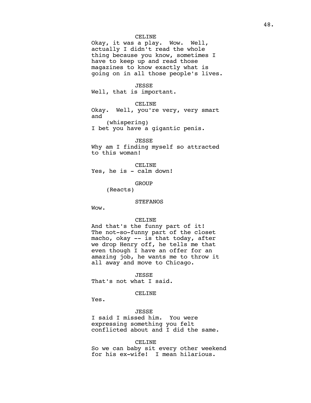Okay, it was a play. Wow. Well, actually I didn't read the whole thing because you know, sometimes I have to keep up and read those magazines to know exactly what is going on in all those people's lives.

#### JESSE

Well, that is important.

# CELINE

Okay. Well, you're very, very smart and (whispering)

I bet you have a gigantic penis.

# JESSE

Why am I finding myself so attracted to this woman!

CELINE Yes, he is - calm down!

GROUP

(Reacts)

## **STEFANOS**

Wow.

#### CELINE

And that's the funny part of it! The not-so-funny part of the closet macho, okay -- is that today, after we drop Henry off, he tells me that even though I have an offer for an amazing job, he wants me to throw it all away and move to Chicago.

JESSE

That's not what I said.

# CELINE

Yes.

JESSE I said I missed him. You were expressing something you felt conflicted about and I did the same.

#### CELINE

So we can baby sit every other weekend for his ex-wife! I mean hilarious.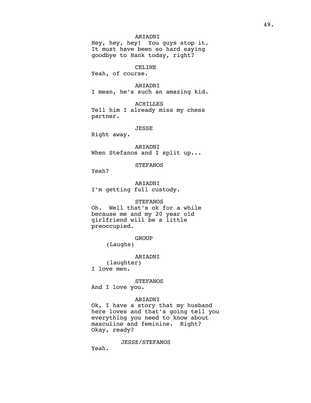# ARIADNI

Hey, hey, hey! You guys stop it. It must have been so hard saying goodbye to Hank today, right?

# CELINE

Yeah, of course.

ARIADNI

I mean, he's such an amazing kid.

ACHILLES Tell him I already miss my chess partner.

#### JESSE

Right away.

ARIADNI When Stefanos and I split up...

## STEFANOS

Yeah?

ARIADNI I'm getting full custody.

# **STEFANOS**

Oh. Well that's ok for a while because me and my 20 year old girlfriend will be a little preoccupied.

**GROUP** 

(Laughs)

#### ARIADNI

(laughter) I love men.

#### **STEFANOS**

And I love you.

#### ARIADNI

Ok, I have a story that my husband here loves and that's going tell you everything you need to know about masculine and feminine. Right? Okay, ready?

## JESSE/STEFANOS

Yeah.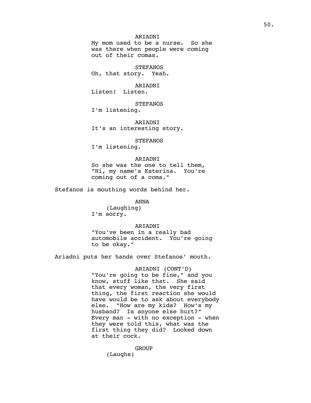# ARIADNI

My mom used to be a nurse. So she was there when people were coming out of their comas.

**STEFANOS** Oh, that story. Yeah.

#### ARIADNI

Listen! Listen.

## STEFANOS

I'm listening.

ARIADNI It's an interesting story.

#### STEFANOS

I'm listening.

## ARIADNI

So she was the one to tell them, "Hi, my name's Katerina. You're coming out of a coma."

Stefanos is mouthing words behind her.

#### ANNA

(Laughing) I'm sorry.

## ARIADNI

"You've been in a really bad automobile accident. You're going to be okay."

Ariadni puts her hands over Stefanos' mouth.

# ARIADNI (CONT'D) "You're going to be fine," and you know, stuff like that. She said that every woman, the very first thing, the first reaction she would have would be to ask about everybody else. "How are my kids? How's my

husband? Is anyone else hurt?" Every man  $-$  with no exception  $-$  when they were told this, what was the first thing they did? Looked down at their cock.

**GROUP** 

(Laughs)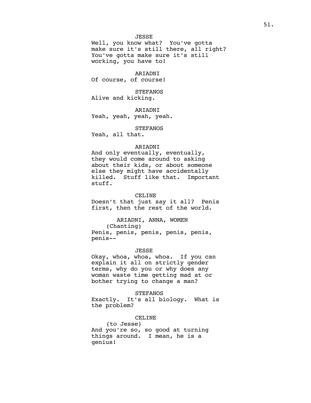JESSE

Well, you know what? You've gotta make sure it's still there, all right? You've gotta make sure it's still working, you have to!

ARIADNI Of course, of course!

**STEFANOS** Alive and kicking.

ARIADNI Yeah, yeah, yeah, yeah.

STEFANOS

Yeah, all that.

penis--

## ARIADNI

And only eventually, eventually, they would come around to asking about their kids, or about someone else they might have accidentally killed. Stuff like that. Important stuff.

## CELINE

Doesn't that just say it all? Penis first, then the rest of the world.

# ARIADNI, ANNA, WOMEN

(Chanting) Penis, penis, penis, penis, penis,

#### JESSE

Okay, whoa, whoa, whoa. If you can explain it all on strictly gender terms, why do you or why does any woman waste time getting mad at or bother trying to change a man?

#### STEFANOS

Exactly. It's all biology. What is the problem?

# CELINE

(to Jesse) And you're so, so good at turning things around. I mean, he is a genius!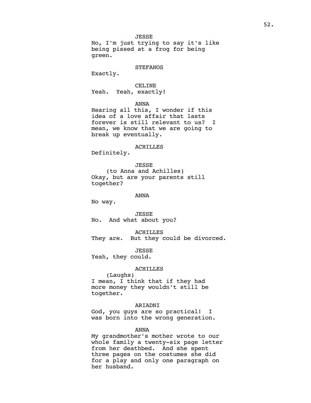JESSE No, I'm just trying to say it's like being pissed at a frog for being green.

## **STEFANOS**

Exactly.

# CELINE Yeah. Yeah, exactly!

ANNA

Hearing all this, I wonder if this idea of a love affair that lasts forever is still relevant to us? I mean, we know that we are going to break up eventually.

#### ACHILLES

Definitely.

JESSE

(to Anna and Achilles) Okay, but are your parents still together?

ANNA

No way.

JESSE No. And what about you?

ACHILLES

They are. But they could be divorced.

JESSE

Yeah, they could.

# ACHILLES

(Laughs) I mean, I think that if they had more money they wouldn't still be together.

# ARIADNI

God, you guys are so practical! I was born into the wrong generation.

## ANNA

My grandmother's mother wrote to our whole family a twenty-six page letter from her deathbed. And she spent three pages on the costumes she did for a play and only one paragraph on her husband.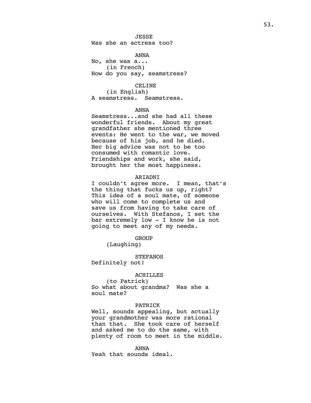## JESSE

Was she an actress too?

#### ANNA

No, she was a... (in French) How do you say, seamstress?

#### CELINE

(in English) A seamstress. Seamstress.

#### ANNA

Seamstress...and she had all these wonderful friends. About my great grandfather she mentioned three events: He went to the war, we moved because of his job, and he died. Her big advice was not to be too consumed with romantic love. Friendships and work, she said, brought her the most happiness.

#### ARIADNI

I couldn't agree more. I mean, that's the thing that fucks us up, right? This idea of a soul mate, of someone who will come to complete us and save us from having to take care of ourselves. With Stefanos, I set the bar extremely low - I know he is not going to meet any of my needs.

## **GROUP**

(Laughing)

#### STEFANOS

Definitely not!

#### ACHILLES

(to Patrick) So what about grandma? Was she a soul mate?

## PATRICK

Well, sounds appealing, but actually your grandmother was more rational than that. She took care of herself and asked me to do the same, with plenty of room to meet in the middle.

ANNA Yeah that sounds ideal.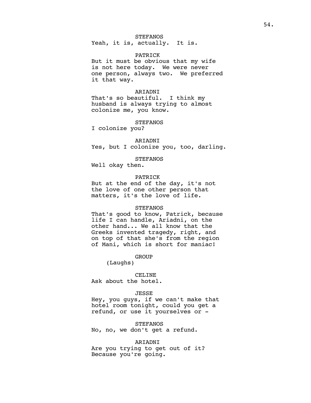# **STEFANOS**

Yeah, it is, actually. It is.

#### PATRICK

But it must be obvious that my wife is not here today. We were never one person, always two. We preferred it that way.

# ARIADNI

That's so beautiful. I think my husband is always trying to almost colonize me, you know.

#### STEFANOS

I colonize you?

#### ARIADNI

Yes, but I colonize you, too, darling.

#### STEFANOS

Well okay then.

## PATRICK

But at the end of the day, it's not the love of one other person that matters, it's the love of life.

## STEFANOS

That's good to know, Patrick, because life I can handle, Ariadni, on the other hand... We all know that the Greeks invented tragedy, right, and on top of that she's from the region of Mani, which is short for maniac!

#### GROUP

(Laughs)

CELINE Ask about the hotel.

## JESSE

Hey, you guys, if we can't make that hotel room tonight, could you get a refund, or use it yourselves or -

STEFANOS No, no, we don't get a refund.

# ARIADNI

Are you trying to get out of it? Because you're going.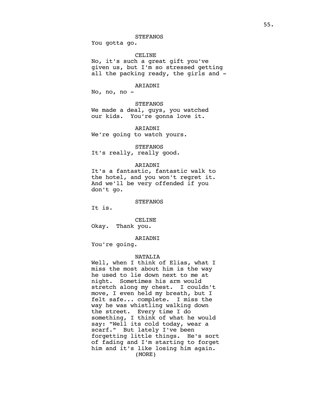## **STEFANOS**

You gotta go.

## CELINE

No, it's such a great gift you've given us, but I'm so stressed getting all the packing ready, the girls and -

## ARIADNI

No, no, no -

# **STEFANOS**

We made a deal, guys, you watched our kids. You're gonna love it.

ARIADNI We're going to watch yours.

## **STEFANOS**

It's really, really good.

#### ARIADNI

It's a fantastic, fantastic walk to the hotel, and you won't regret it. And we'll be very offended if you don't go.

## **STEFANOS**

It is.

## CELINE

Okay. Thank you.

## ARIADNI

You're going.

#### NATALIA

Well, when I think of Elias, what I miss the most about him is the way he used to lie down next to me at night. Sometimes his arm would stretch along my chest. I couldn't move, I even held my breath, but I felt safe... complete. I miss the way he was whistling walking down the street. Every time I do something, I think of what he would say: "Well its cold today, wear a scarf." But lately I've been forgetting little things. He's sort of fading and I'm starting to forget him and it's like losing him again. (MORE)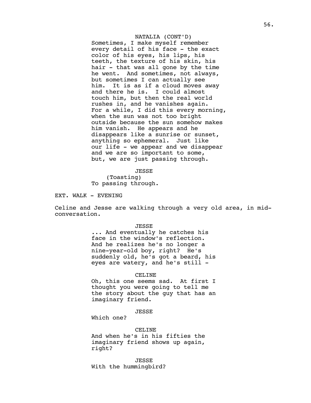# NATALIA (CONT'D)

Sometimes, I make myself remember every detail of his face - the exact color of his eyes, his lips, his teeth, the texture of his skin, his hair - that was all gone by the time he went. And sometimes, not always, but sometimes I can actually see him. It is as if a cloud moves away and there he is. I could almost touch him, but then the real world rushes in, and he vanishes again. For a while, I did this every morning, when the sun was not too bright outside because the sun somehow makes him vanish. He appears and he disappears like a sunrise or sunset, anything so ephemeral. Just like our life - we appear and we disappear and we are so important to some, but, we are just passing through.

JESSE (Toasting) To passing through.

EXT. WALK - EVENING

Celine and Jesse are walking through a very old area, in midconversation.

JESSE

... And eventually he catches his face in the window's reflection. And he realizes he's no longer a nine-year-old boy, right? He's suddenly old, he's got a beard, his eyes are watery, and he's still -

#### CELINE

Oh, this one seems sad. At first I thought you were going to tell me the story about the guy that has an imaginary friend.

JESSE

Which one?

CELINE

And when he's in his fifties the imaginary friend shows up again, right?

JESSE With the hummingbird?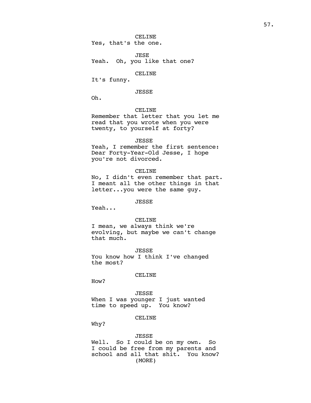CELINE Yes, that's the one.

JESE Yeah. Oh, you like that one?

#### CELINE

It's funny.

# JESSE

Oh.

#### CELINE

Remember that letter that you let me read that you wrote when you were twenty, to yourself at forty?

#### JESSE

Yeah, I remember the first sentence: Dear Forty-Year-Old Jesse, I hope you're not divorced.

#### CELINE

No, I didn't even remember that part. I meant all the other things in that letter...you were the same guy.

## JESSE

Yeah...

#### CELINE

I mean, we always think we're evolving, but maybe we can't change that much.

JESSE You know how I think I've changed the most?

## CELINE

How?

# JESSE

When I was younger I just wanted time to speed up. You know?

# CELINE

Why?

## JESSE

Well. So I could be on my own. So I could be free from my parents and school and all that shit. You know? (MORE)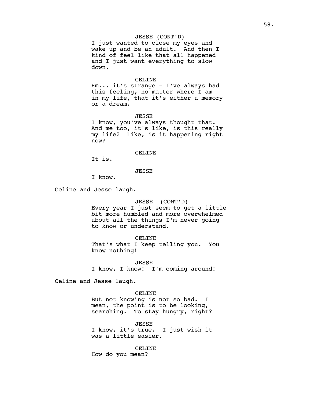## JESSE (CONT'D)

I just wanted to close my eyes and wake up and be an adult. And then I kind of feel like that all happened and I just want everything to slow down.

## CELINE

Hm... it's strange - I've always had this feeling, no matter where I am in my life, that it's either a memory or a dream.

JESSE

I know, you've always thought that. And me too, it's like, is this really my life? Like, is it happening right now?

## CELINE

It is.

# JESSE

I know.

Celine and Jesse laugh.

## JESSE (CONT'D)

Every year I just seem to get a little bit more humbled and more overwhelmed about all the things I'm never going to know or understand.

## CELINE

That's what I keep telling you. You know nothing!

JESSE I know, I know! I'm coming around!

Celine and Jesse laugh.

## CELINE

But not knowing is not so bad. I mean, the point is to be looking, searching. To stay hungry, right?

JESSE I know, it's true. I just wish it was a little easier.

CELINE

How do you mean?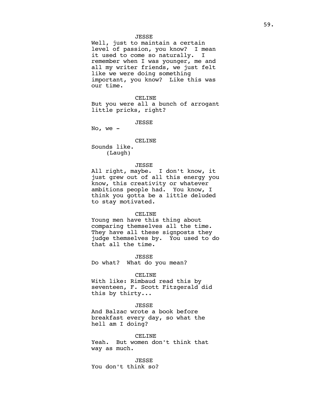## JESSE

Well, just to maintain a certain level of passion, you know? I mean it used to come so naturally. I remember when I was younger, me and all my writer friends, we just felt like we were doing something important, you know? Like this was our time.

#### CELINE

But you were all a bunch of arrogant little pricks, right?

JESSE

No, we  $-$ 

#### CELINE

Sounds like. (Laugh)

## JESSE

All right, maybe. I don't know, it just grew out of all this energy you know, this creativity or whatever ambitions people had. You know, I think you gotta be a little deluded to stay motivated.

#### CELINE

Young men have this thing about comparing themselves all the time. They have all these signposts they judge themselves by. You used to do that all the time.

JESSE

Do what? What do you mean?

#### CELINE

With like: Rimbaud read this by seventeen, F. Scott Fitzgerald did this by thirty...

## JESSE

And Balzac wrote a book before breakfast every day, so what the hell am I doing?

CELINE Yeah. But women don't think that way as much.

JESSE You don't think so?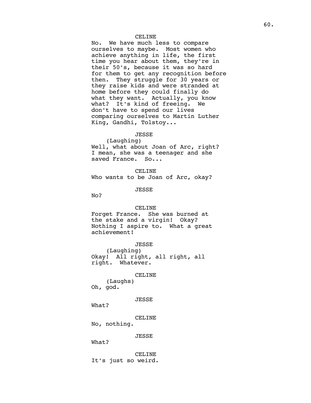No. We have much less to compare ourselves to maybe. Most women who achieve anything in life, the first time you hear about them, they're in their 50's, because it was so hard for them to get any recognition before then. They struggle for 30 years or they raise kids and were stranded at home before they could finally do what they want. Actually, you know what? It's kind of freeing. We don't have to spend our lives comparing ourselves to Martin Luther King, Gandhi, Tolstoy...

## JESSE

(Laughing) Well, what about Joan of Arc, right? I mean, she was a teenager and she saved France. So...

CELINE Who wants to be Joan of Arc, okay?

JESSE

No?

#### CELINE

Forget France. She was burned at the stake and a virgin! Okay? Nothing I aspire to. What a great achievement!

JESSE

(Laughing) Okay! All right, all right, all right. Whatever.

CELINE

(Laughs) Oh, god.

JESSE

What?

CELINE

No, nothing.

JESSE

What?

CELINE It's just so weird.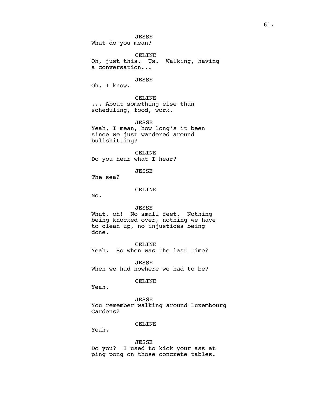JESSE What do you mean?

CELINE Oh, just this. Us. Walking, having a conversation...

## JESSE

Oh, I know.

CELINE ... About something else than scheduling, food, work.

JESSE Yeah, I mean, how long's it been since we just wandered around bullshitting?

CELINE Do you hear what I hear?

JESSE

The sea?

#### CELINE

No.

#### JESSE

What, oh! No small feet. Nothing being knocked over, nothing we have to clean up, no injustices being done.

CELINE Yeah. So when was the last time?

JESSE When we had nowhere we had to be?

## CELINE

Yeah.

JESSE You remember walking around Luxembourg Gardens?

#### CELINE

Yeah.

#### JESSE

Do you? I used to kick your ass at ping pong on those concrete tables.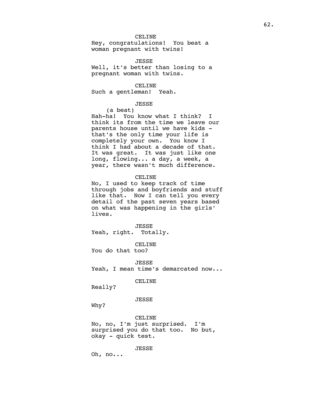Hey, congratulations! You beat a woman pregnant with twins!

JESSE

Well, it's better than losing to a pregnant woman with twins.

CELINE

Such a gentleman! Yeah.

# JESSE

(a beat)

Hah-ha! You know what I think? I think its from the time we leave our parents house until we have kids that's the only time your life is completely your own. You know I think I had about a decade of that. It was great. It was just like one long, flowing... a day, a week, a year, there wasn't much difference.

CELINE

No, I used to keep track of time through jobs and boyfriends and stuff like that. Now I can tell you every detail of the past seven years based on what was happening in the girls' lives.

JESSE Yeah, right. Totally.

CELINE You do that too?

JESSE Yeah, I mean time's demarcated now...

CELINE

Really?

## JESSE

Why?

CELINE No, no, I'm just surprised. I'm surprised you do that too. No but, okay - quick test.

JESSE

Oh, no...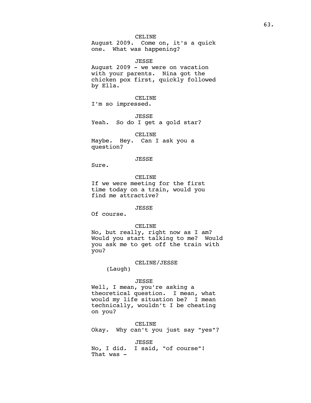August 2009. Come on, it's a quick one. What was happening?

JESSE August 2009 - we were on vacation with your parents. Nina got the chicken pox first, quickly followed by Ella.

CELINE I'm so impressed.

JESSE Yeah. So do I get a gold star?

CELINE Maybe. Hey. Can I ask you a question?

## JESSE

Sure.

CELINE If we were meeting for the first time today on a train, would you find me attractive?

#### JESSE

Of course.

## CELINE

No, but really, right now as I am? Would you start talking to me? Would you ask me to get off the train with you?

## CELINE/JESSE

(Laugh)

### JESSE

Well, I mean, you're asking a theoretical question. I mean, what would my life situation be? I mean technically, wouldn't I be cheating on you?

CELINE Okay. Why can't you just say "yes"?

JESSE No, I did. I said, "of course"! That was -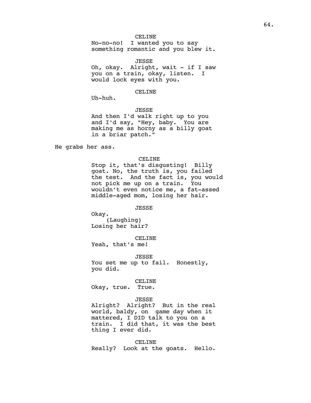No-no-no! I wanted you to say something romantic and you blew it.

JESSE Oh, okay. Alright, wait - if I saw you on a train, okay, listen. I would lock eyes with you.

# CELINE

Uh-huh.

JESSE And then I'd walk right up to you and I'd say, "Hey, baby. You are making me as horny as a billy goat

He grabs her ass.

#### CELINE

Stop it, that's disgusting! Billy goat. No, the truth is, you failed the test. And the fact is, you would not pick me up on a train. You wouldn't even notice me, a fat-assed middle-aged mom, losing her hair.

#### JESSE

Okay. (Laughing) Losing her hair?

in a briar patch."

CELINE Yeah, that's me!

JESSE You set me up to fail. Honestly, you did.

### CELINE

Okay, true. True.

#### JESSE

Alright? Alright? But in the real world, baldy, on game day when it mattered, I DID talk to you on a train. I did that, it was the best thing I ever did.

CELINE Really? Look at the goats. Hello.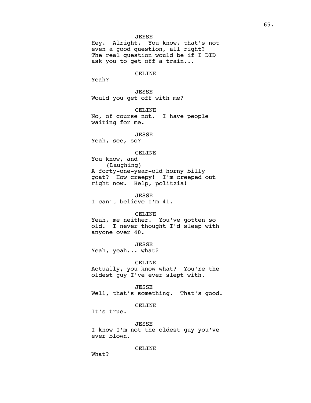JEESE

Hey. Alright. You know, that's not even a good question, all right? The real question would be if I DID ask you to get off a train...

CELINE

Yeah?

JESSE Would you get off with me?

CELINE No, of course not. I have people waiting for me.

JESSE Yeah, see, so?

#### CELINE

You know, and (Laughing) A forty-one-year-old horny billy goat? How creepy! I'm creeped out right now. Help, politzia!

JESSE I can't believe I'm 41.

#### CELINE

Yeah, me neither. You've gotten so<br>old. I never thought I'd sleep with I never thought I'd sleep with anyone over 40.

JESSE Yeah, yeah... what?

CELINE

Actually, you know what? You're the oldest guy I've ever slept with.

JESSE

Well, that's something. That's good.

CELINE

It's true.

JESSE

I know I'm not the oldest guy you've ever blown.

CELINE

What?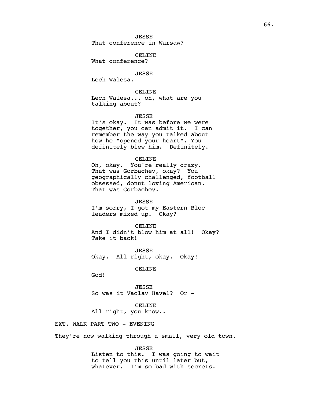JESSE That conference in Warsaw?

CELINE

What conference?

JESSE

Lech Walesa.

CELINE

Lech Walesa... oh, what are you talking about?

JESSE

It's okay. It was before we were together, you can admit it. I can remember the way you talked about how he "opened your heart". You definitely blew him. Definitely.

CELINE

Oh, okay. You're really crazy. That was Gorbachev, okay? You geographically challenged, football obsessed, donut loving American. That was Gorbachev.

JESSE I'm sorry, I got my Eastern Bloc leaders mixed up. Okay?

CELINE

And I didn't blow him at all! Okay? Take it back!

JESSE Okay. All right, okay. Okay!

CELINE

God!

JESSE So was it Vaclav Havel? Or -

CELINE All right, you know..

EXT. WALK PART TWO - EVENING

They're now walking through a small, very old town.

JESSE Listen to this. I was going to wait to tell you this until later but, whatever. I'm so bad with secrets.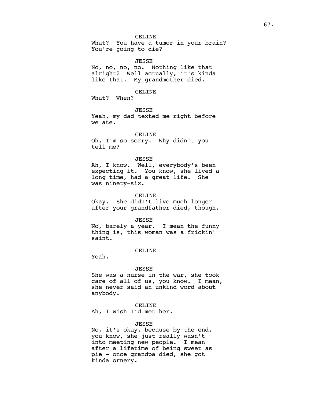What? You have a tumor in your brain? You're going to die?

#### JESSE

No, no, no, no. Nothing like that alright? Well actually, it's kinda like that. My grandmother died.

CELINE

What? When?

JESSE Yeah, my dad texted me right before we ate.

CELINE

Oh, I'm so sorry. Why didn't you tell me?

# JESSE

Ah, I know. Well, everybody's been expecting it. You know, she lived a long time, had a great life. She was ninety-six.

## CELINE

Okay. She didn't live much longer after your grandfather died, though.

## JESSE

No, barely a year. I mean the funny thing is, this woman was a frickin' saint.

## CELINE

Yeah.

#### JESSE

She was a nurse in the war, she took care of all of us, you know. I mean, she never said an unkind word about anybody.

#### CELINE

Ah, I wish I'd met her.

#### JESSE

No, it's okay, because by the end, you know, she just really wasn't into meeting new people. I mean after a lifetime of being sweet as pie - once grandpa died, she got kinda ornery.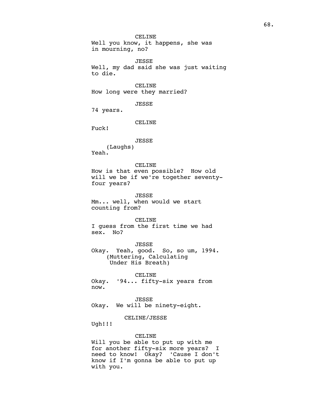CELINE Well you know, it happens, she was in mourning, no?

JESSE Well, my dad said she was just waiting to die.

CELINE How long were they married?

JESSE

74 years.

CELINE

Fuck!

#### JESSE

(Laughs) Yeah.

CELINE

How is that even possible? How old will we be if we're together seventyfour years?

JESSE Mm... well, when would we start counting from?

CELINE I guess from the first time we had sex. No?

JESSE Okay. Yeah, good. So, so um, 1994. (Muttering, Calculating Under His Breath)

CELINE Okay. '94... fifty-six years from now.

JESSE Okay. We will be ninety-eight.

# CELINE/JESSE

Ugh!!!

## CELINE

Will you be able to put up with me for another fifty-six more years? I need to know! Okay? 'Cause I don't know if I'm gonna be able to put up with you.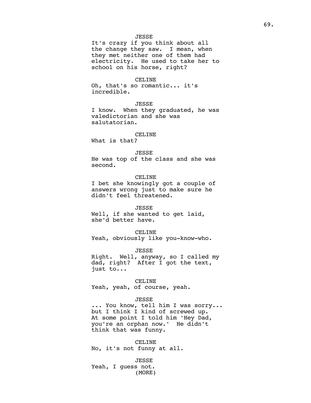## JESSE

It's crazy if you think about all the change they saw. I mean, when they met neither one of them had electricity. He used to take her to school on his horse, right?

## CELINE

Oh, that's so romantic... it's incredible.

## JESSE

I know. When they graduated, he was valedictorian and she was salutatorian.

## CELINE

What is that?

## JESSE

He was top of the class and she was second.

## CELINE

I bet she knowingly got a couple of answers wrong just to make sure he didn't feel threatened.

#### JESSE

Well, if she wanted to get laid, she'd better have.

#### CELINE

Yeah, obviously like you-know-who.

JESSE

Right. Well, anyway, so I called my dad, right? After I got the text, just to...

#### CELINE

Yeah, yeah, of course, yeah.

## JESSE

... You know, tell him I was sorry... but I think I kind of screwed up. At some point I told him 'Hey Dad, you're an orphan now.' He didn't think that was funny.

CELINE No, it's not funny at all.

JESSE Yeah, I guess not. (MORE)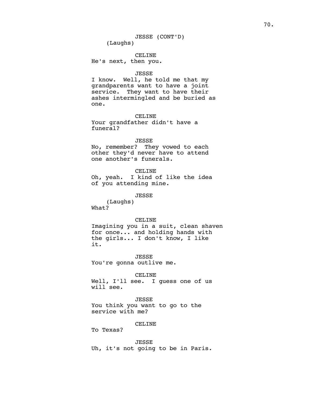CELINE He's next, then you.

#### JESSE

I know. Well, he told me that my grandparents want to have a joint service. They want to have their ashes intermingled and be buried as one.

## CELINE

Your grandfather didn't have a funeral?

## JESSE

No, remember? They vowed to each other they'd never have to attend one another's funerals.

#### CELINE

Oh, yeah. I kind of like the idea of you attending mine.

JESSE

(Laughs) What?

## CELINE

Imagining you in a suit, clean shaven for once... and holding hands with the girls... I don't know, I like it.

JESSE You're gonna outlive me.

## CELINE

Well, I'll see. I guess one of us will see.

## JESSE

You think you want to go to the service with me?

#### CELINE

To Texas?

# JESSE

Uh, it's not going to be in Paris.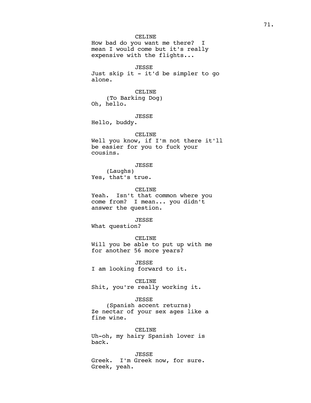How bad do you want me there? I mean I would come but it's really expensive with the flights...

JESSE Just skip it - it'd be simpler to go alone.

CELINE (To Barking Dog) Oh, hello.

JESSE

Hello, buddy.

## CELINE

Well you know, if I'm not there it'll be easier for you to fuck your cousins.

## JESSE

(Laughs) Yes, that's true.

## CELINE

Yeah. Isn't that common where you come from? I mean... you didn't answer the question.

# JESSE

What question?

#### CELINE

Will you be able to put up with me for another 56 more years?

JESSE I am looking forward to it.

## CELINE

Shit, you're really working it.

#### JESSE

(Spanish accent returns) Ze nectar of your sex ages like a fine wine.

#### CELINE

Uh-oh, my hairy Spanish lover is back.

JESSE Greek. I'm Greek now, for sure. Greek, yeah.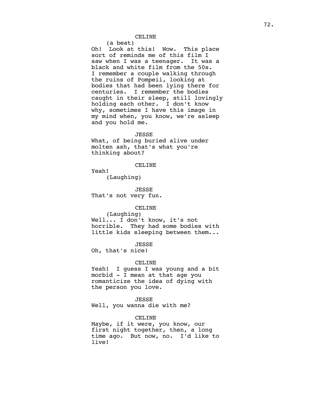(a beat)

Oh! Look at this! Wow. This place sort of reminds me of this film I saw when I was a teenager. It was a black and white film from the 50s. I remember a couple walking through the ruins of Pompeii, looking at bodies that had been lying there for<br>centuries. I remember the bodies I remember the bodies caught in their sleep, still lovingly holding each other. I don't know why, sometimes I have this image in my mind when, you know, we're asleep and you hold me.

#### JESSE

What, of being buried alive under molten ash, that's what you're thinking about?

## CELINE

Yeah!

(Laughing)

JESSE That's not very fun.

# CELINE

(Laughing) Well... I don't know, it's not horrible. They had some bodies with little kids sleeping between them...

JESSE

Oh, that's nice!

## CELINE

Yeah! I guess I was young and a bit morbid - I mean at that age you romanticize the idea of dying with the person you love.

## JESSE

Well, you wanna die with me?

# CELINE

Maybe, if it were, you know, our first night together, then, a long time ago. But now, no. I'd like to live!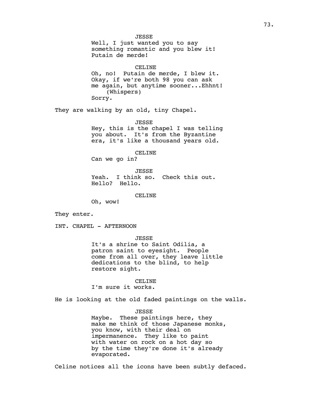JESSE Well, I just wanted you to say something romantic and you blew it! Putain de merde! CELINE Oh, no! Putain de merde, I blew it. Okay, if we're both 98 you can ask me again, but anytime sooner...Ehhnt! (Whispers) Sorry. They are walking by an old, tiny Chapel. JESSE Hey, this is the chapel I was telling you about. It's from the Byzantine era, it's like a thousand years old. CELINE Can we go in? JESSE Yeah. I think so. Check this out. Hello? Hello. CELINE Oh, wow! They enter. INT. CHAPEL - AFTERNOON JESSE It's a shrine to Saint Odilia, a patron saint to eyesight. People come from all over, they leave little dedications to the blind, to help restore sight. CELINE I'm sure it works. He is looking at the old faded paintings on the walls. JESSE Maybe. These paintings here, they

make me think of those Japanese monks, you know, with their deal on impermanence. They like to paint with water on rock on a hot day so by the time they're done it's already evaporated.

Celine notices all the icons have been subtly defaced.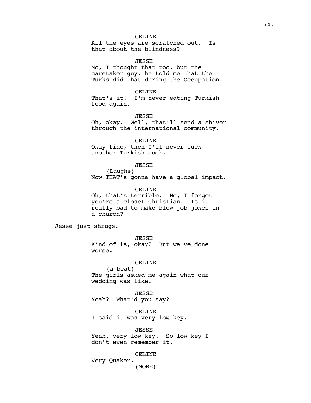All the eyes are scratched out. Is that about the blindness?

JESSE

No, I thought that too, but the caretaker guy, he told me that the Turks did that during the Occupation.

CELINE

That's it! I'm never eating Turkish food again.

JESSE

Oh, okay. Well, that'll send a shiver through the international community.

CELINE Okay fine, then I'll never suck another Turkish cock.

## JESSE

(Laughs) Now THAT's gonna have a global impact.

CELINE

Oh, that's terrible. No, I forgot you're a closet Christian. Is it really bad to make blow-job jokes in a church?

Jesse just shrugs.

JESSE Kind of is, okay? But we've done worse.

CELINE

(a beat) The girls asked me again what our wedding was like.

JESSE Yeah? What'd you say?

CELINE I said it was very low key.

JESSE Yeah, very low key. So low key I don't even remember it.

CELINE

Very Quaker. (MORE)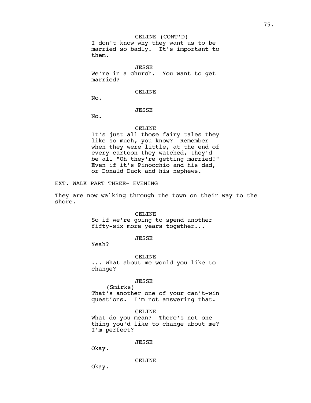JESSE We're in a church. You want to get married?

CELINE

No.

# JESSE

No.

# CELINE

It's just all those fairy tales they like so much, you know? Remember when they were little, at the end of every cartoon they watched, they'd be all "Oh they're getting married!" Even if it's Pinocchio and his dad, or Donald Duck and his nephews.

EXT. WALK PART THREE- EVENING

They are now walking through the town on their way to the shore.

### CELINE

So if we're going to spend another fifty-six more years together...

# JESSE

Yeah?

CELINE ... What about me would you like to change?

### JESSE

(Smirks) That's another one of your can't-win questions. I'm not answering that.

## CELINE

What do you mean? There's not one thing you'd like to change about me? I'm perfect?

### JESSE

Okay.

CELINE

Okay.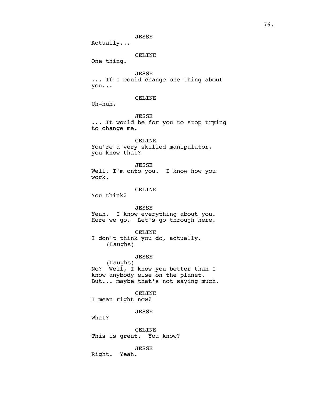JESSE

Actually...

# CELINE

One thing.

# JESSE

... If I could change one thing about you...

# CELINE

Uh-huh.

JESSE

... It would be for you to stop trying to change me.

CELINE

You're a very skilled manipulator, you know that?

# JESSE

Well, I'm onto you. I know how you work.

## CELINE

You think?

# JESSE

Yeah. I know everything about you. Here we go. Let's go through here.

## CELINE

I don't think you do, actually. (Laughs)

## JESSE

(Laughs) No? Well, I know you better than I know anybody else on the planet. But... maybe that's not saying much.

# CELINE I mean right now?

JESSE

What?

CELINE This is great. You know?

JESSE

Right. Yeah.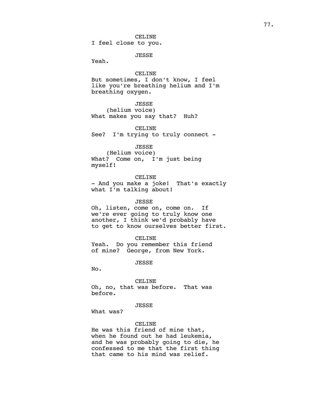CELINE I feel close to you.

JESSE

Yeah.

## CELINE

But sometimes, I don't know, I feel like you're breathing helium and I'm breathing oxygen.

# JESSE

(helium voice) What makes you say that? Huh?

CELINE See? I'm trying to truly connect -

## JESSE

(Helium voice) What? Come on, I'm just being myself!

## CELINE

- And you make a joke! That's exactly what I'm talking about!

### JESSE

Oh, listen, come on, come on. If we're ever going to truly know one another, I think we'd probably have to get to know ourselves better first.

CELINE

Yeah. Do you remember this friend of mine? George, from New York.

### JESSE

No.

#### CELINE

Oh, no, that was before. That was before.

# JESSE

What was?

## CELINE

He was this friend of mine that, when he found out he had leukemia, and he was probably going to die, he confessed to me that the first thing that came to his mind was relief.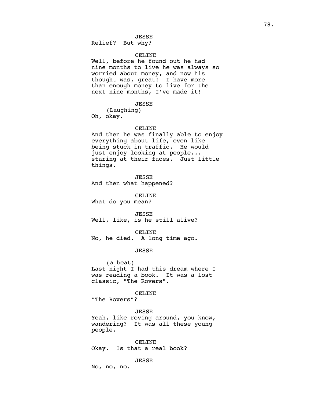# JESSE

Relief? But why?

# CELINE

Well, before he found out he had nine months to live he was always so worried about money, and now his thought was, great! I have more than enough money to live for the next nine months, I've made it!

# JESSE

(Laughing) Oh, okay.

# CELINE

And then he was finally able to enjoy everything about life, even like being stuck in traffic. He would just enjoy looking at people... staring at their faces. Just little things.

JESSE And then what happened?

CELINE

What do you mean?

JESSE Well, like, is he still alive?

CELINE

No, he died. A long time ago.

JESSE

(a beat) Last night I had this dream where I was reading a book. It was a lost classic, "The Rovers".

CELINE "The Rovers"?

#### JESSE

Yeah, like roving around, you know, wandering? It was all these young people.

CELINE Okay. Is that a real book?

JESSE

No, no, no.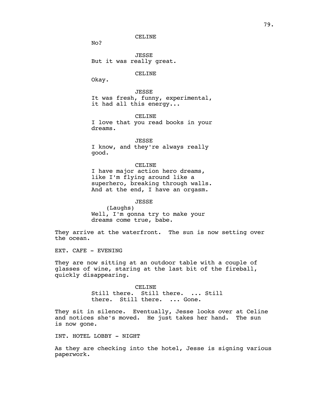No?

JESSE But it was really great.

CELINE

Okay.

JESSE It was fresh, funny, experimental, it had all this energy...

CELINE

I love that you read books in your dreams.

JESSE

I know, and they're always really good.

CELINE

I have major action hero dreams, like I'm flying around like a superhero, breaking through walls. And at the end, I have an orgasm.

JESSE

(Laughs) Well, I'm gonna try to make your dreams come true, babe.

They arrive at the waterfront. The sun is now setting over the ocean.

EXT. CAFE - EVENING

They are now sitting at an outdoor table with a couple of glasses of wine, staring at the last bit of the fireball, quickly disappearing.

> CELINE Still there. Still there. ... Still there. Still there. ... Gone.

They sit in silence. Eventually, Jesse looks over at Celine and notices she's moved. He just takes her hand. The sun is now gone.

INT. HOTEL LOBBY - NIGHT

As they are checking into the hotel, Jesse is signing various paperwork.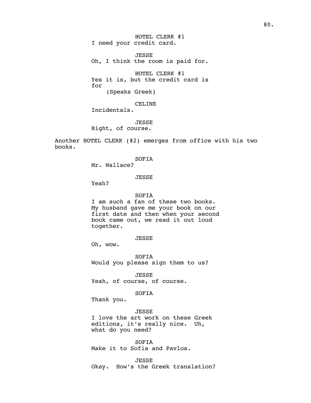HOTEL CLERK #1 I need your credit card.

JESSE Oh, I think the room is paid for.

HOTEL CLERK #1 Yes it is, but the credit card is for (Speaks Greek)

CELINE Incidentals.

JESSE Right, of course.

Another HOTEL CLERK (#2) emerges from office with his two books.

SOFIA

Mr. Wallace?

JESSE

Yeah?

# SOFIA

I am such a fan of these two books. My husband gave me your book on our first date and then when your second book came out, we read it out loud together.

JESSE

Oh, wow.

SOFIA Would you please sign them to us?

JESSE Yeah, of course, of course.

SOFIA

Thank you.

JESSE I love the art work on these Greek editions, it's really nice. Uh, what do you need?

SOFIA Make it to Sofia and Pavlos.

JESSE Okay. How's the Greek translation?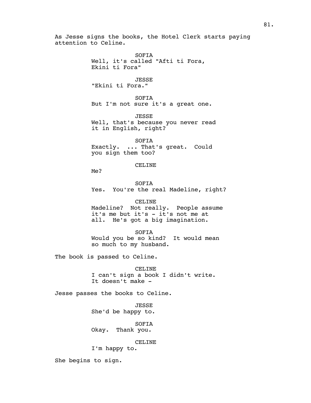As Jesse signs the books, the Hotel Clerk starts paying attention to Celine. SOFIA Well, it's called "Afti ti Fora, Ekini ti Fora" JESSE "Ekini ti Fora." SOFIA But I'm not sure it's a great one. JESSE Well, that's because you never read it in English, right? SOFIA Exactly. ... That's great. Could you sign them too? CELINE Me? SOFIA Yes. You're the real Madeline, right? CELINE Madeline? Not really. People assume it's me but it's - it's not me at all. He's got a big imagination. SOFIA Would you be so kind? It would mean so much to my husband. The book is passed to Celine. CELINE I can't sign a book I didn't write. It doesn't make - Jesse passes the books to Celine. JESSE She'd be happy to.

> SOFIA Okay. Thank you.

> > CELINE

I'm happy to.

She begins to sign.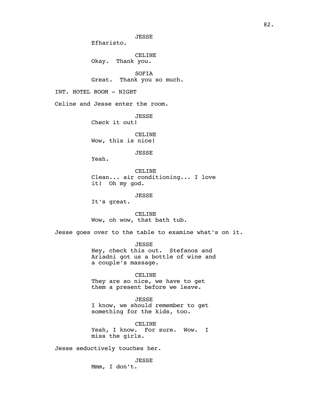82.

JESSE

Efharisto.

CELINE Okay. Thank you.

SOFIA Great. Thank you so much.

INT. HOTEL ROOM - NIGHT

Celine and Jesse enter the room.

JESSE

Check it out!

CELINE Wow, this is nice!

JESSE

Yeah.

CELINE Clean... air conditioning... I love it! Oh my god.

JESSE

It's great.

CELINE Wow, oh wow, that bath tub.

Jesse goes over to the table to examine what's on it.

JESSE Hey, check this out. Stefanos and Ariadni got us a bottle of wine and a couple's massage.

CELINE

They are so nice, we have to get them a present before we leave.

JESSE I know, we should remember to get something for the kids, too.

CELINE Yeah, I know. For sure. Wow. I miss the girls.

Jesse seductively touches her.

JESSE Mmm, I don't.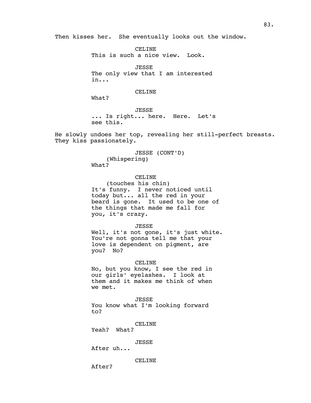Then kisses her. She eventually looks out the window.

CELINE This is such a nice view. Look.

JESSE The only view that I am interested in...

CELINE

What?

JESSE ... Is right... here. Here. Let's see this.

He slowly undoes her top, revealing her still-perfect breasts. They kiss passionately.

> JESSE (CONT'D) (Whispering) What?

CELINE (touches his chin) It's funny. I never noticed until today but... all the red in your beard is gone. It used to be one of the things that made me fall for you, it's crazy.

JESSE

Well, it's not gone, it's just white. You're not gonna tell me that your love is dependent on pigment, are you? No?

CELINE

No, but you know, I see the red in our girls' eyelashes. I look at them and it makes me think of when we met.

JESSE

You know what I'm looking forward to?

CELINE

Yeah? What?

JESSE

After uh...

CELINE

After?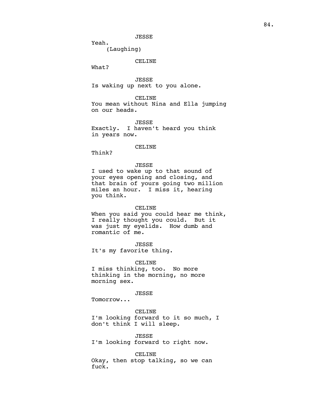(Laughing)

# CELINE

What?

Yeah.

JESSE Is waking up next to you alone.

CELINE

You mean without Nina and Ella jumping on our heads.

JESSE Exactly. I haven't heard you think in years now.

## CELINE

Think?

# JESSE

I used to wake up to that sound of your eyes opening and closing, and that brain of yours going two million miles an hour. I miss it, hearing you think.

### CELINE

When you said you could hear me think, I really thought you could. But it was just my eyelids. How dumb and romantic of me.

JESSE It's my favorite thing.

CELINE I miss thinking, too. No more thinking in the morning, no more morning sex.

# JESSE

Tomorrow...

## CELINE

I'm looking forward to it so much, I don't think I will sleep.

JESSE I'm looking forward to right now.

CELINE Okay, then stop talking, so we can fuck.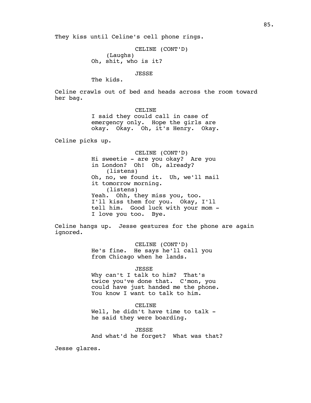They kiss until Celine's cell phone rings.

CELINE (CONT'D) (Laughs) Oh, shit, who is it?

JESSE

The kids.

Celine crawls out of bed and heads across the room toward her bag.

> CELINE I said they could call in case of emergency only. Hope the girls are okay. Okay. Oh, it's Henry. Okay.

Celine picks up.

CELINE (CONT'D) Hi sweetie - are you okay? Are you in London? Oh! Oh, already? (listens) Oh, no, we found it. Uh, we'll mail it tomorrow morning. (listens) Yeah. Ohh, they miss you, too. I'll kiss them for you. Okay, I'll tell him. Good luck with your mom - I love you too. Bye.

Celine hangs up. Jesse gestures for the phone are again ignored.

> CELINE (CONT'D) He's fine. He says he'll call you from Chicago when he lands.

> > JESSE

Why can't I talk to him? That's twice you've done that. C'mon, you could have just handed me the phone. You know I want to talk to him.

CELINE Well, he didn't have time to talk he said they were boarding.

JESSE And what'd he forget? What was that?

Jesse glares.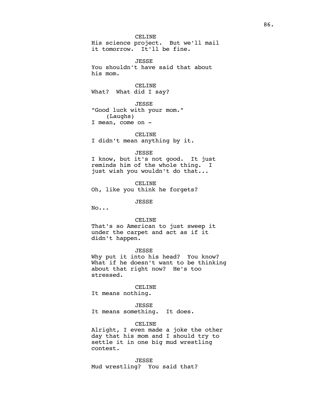CELINE His science project. But we'll mail it tomorrow. It'll be fine.

JESSE You shouldn't have said that about his mom.

CELINE What? What did I say?

JESSE "Good luck with your mom." (Laughs) I mean, come on -

CELINE

I didn't mean anything by it.

### JESSE

I know, but it's not good. It just reminds him of the whole thing. I just wish you wouldn't do that...

CELINE

Oh, like you think he forgets?

JESSE

No...

## CELINE

That's so American to just sweep it under the carpet and act as if it didn't happen.

## JESSE

Why put it into his head? You know? What if he doesn't want to be thinking about that right now? He's too stressed.

### CELINE

It means nothing.

## JESSE

It means something. It does.

# CELINE

Alright, I even made a joke the other day that his mom and I should try to settle it in one big mud wrestling contest.

JESSE

Mud wrestling? You said that?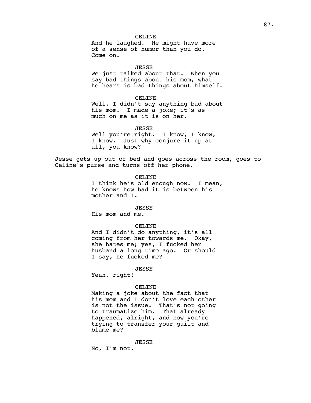And he laughed. He might have more of a sense of humor than you do. Come on.

JESSE

We just talked about that. When you say bad things about his mom, what he hears is bad things about himself.

## CELINE

Well, I didn't say anything bad about his mom. I made a joke; it's as much on me as it is on her.

JESSE

Well you're right. I know, I know, I know. Just why conjure it up at all, you know?

Jesse gets up out of bed and goes across the room, goes to Celine's purse and turns off her phone.

#### CELINE

I think he's old enough now. I mean, he knows how bad it is between his mother and I.

## JESSE

His mom and me.

## CELINE

And I didn't do anything, it's all coming from her towards me. Okay, she hates me; yes, I fucked her husband a long time ago. Or should I say, he fucked me?

#### JESSE

Yeah, right!

### CELINE

Making a joke about the fact that his mom and I don't love each other is not the issue. That's not going to traumatize him. That already happened, alright, and now you're trying to transfer your guilt and blame me?

## JESSE

No, I'm not.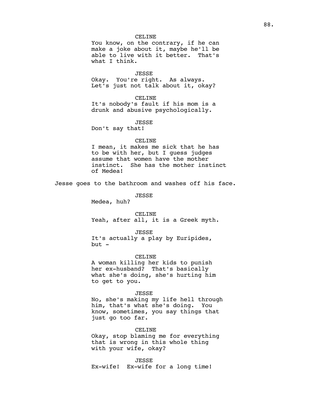You know, on the contrary, if he can make a joke about it, maybe he'll be able to live with it better. That's what I think.

#### JESSE

Okay. You're right. As always. Let's just not talk about it, okay?

## CELINE

It's nobody's fault if his mom is a drunk and abusive psychologically.

JESSE

Don't say that!

#### CELINE

I mean, it makes me sick that he has to be with her, but I guess judges assume that women have the mother instinct. She has the mother instinct of Medea!

Jesse goes to the bathroom and washes off his face.

JESSE

Medea, huh?

CELINE

Yeah, after all, it is a Greek myth.

## JESSE

It's actually a play by Euripides,  $but -$ 

### CELINE

A woman killing her kids to punish her ex-husband? That's basically what she's doing, she's hurting him to get to you.

# JESSE

No, she's making my life hell through him, that's what she's doing. You know, sometimes, you say things that just go too far.

# CELINE

Okay, stop blaming me for everything that is wrong in this whole thing with your wife, okay?

JESSE

Ex-wife! Ex-wife for a long time!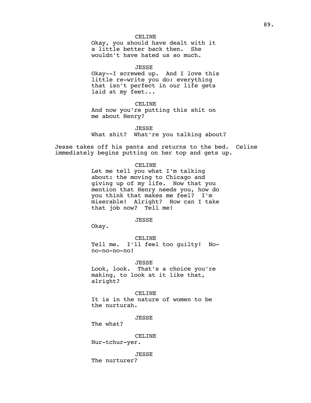Okay, you should have dealt with it a little better back then. She wouldn't have hated us so much.

JESSE

Okay--I screwed up. And I love this little re-write you do: everything that isn't perfect in our life gets laid at my feet...

CELINE

And now you're putting this shit on me about Henry?

JESSE

What shit? What're you talking about?

Jesse takes off his pants and returns to the bed. Celine immediately begins putting on her top and gets up.

## CELINE

Let me tell you what I'm talking about: the moving to Chicago and giving up of my life. Now that you mention that Henry needs you, how do you think that makes me feel? I'm<br>miserable! Alright? How can I take miserable! Alright? that job now? Tell me!

JESSE

Okay.

CELINE Tell me. I'll feel too guilty! Nono-no-no-no!

JESSE Look, look. That's a choice you're making, to look at it like that, alright?

CELINE

It is in the nature of women to be the nurturah.

JESSE

The what?

CELINE

Nur-tchur-yer.

JESSE The nurturer?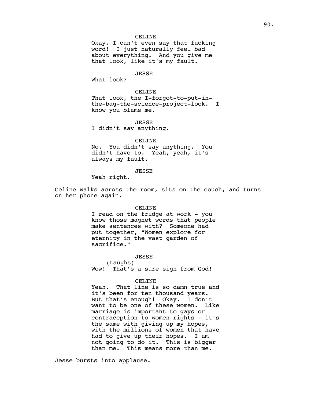Okay, I can't even say that fucking word! I just naturally feel bad about everything. And you give me that look, like it's my fault.

# JESSE

What look?

# CELINE

That look, the I-forgot-to-put-inthe-bag-the-science-project-look. I know you blame me.

JESSE I didn't say anything.

#### CELINE

No. You didn't say anything. You didn't have to. Yeah, yeah, it's always my fault.

# JESSE

Yeah right.

Celine walks across the room, sits on the couch, and turns on her phone again.

### CELINE

I read on the fridge at work - you know those magnet words that people make sentences with? Someone had put together, "Women explore for eternity in the vast garden of sacrifice."

# JESSE

(Laughs) Wow! That's a sure sign from God!

# CELINE

Yeah. That line is so damn true and it's been for ten thousand years. But that's enough! Okay. I don't want to be one of these women. Like marriage is important to gays or contraception to women rights - it's the same with giving up my hopes, with the millions of women that have had to give up their hopes. I am not going to do it. This is bigger than me. This means more than me.

Jesse bursts into applause.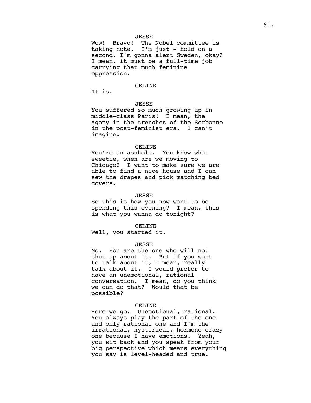Wow! Bravo! The Nobel committee is taking note. I'm just - hold on a second, I'm gonna alert Sweden, okay? I mean, it must be a full-time job carrying that much feminine oppression.

### CELINE

It is.

# JESSE

You suffered so much growing up in middle-class Paris! I mean, the agony in the trenches of the Sorbonne in the post-feminist era. I can't imagine.

# CELINE

You're an asshole. You know what sweetie, when are we moving to Chicago? I want to make sure we are able to find a nice house and I can sew the drapes and pick matching bed covers.

## JESSE

So this is how you now want to be spending this evening? I mean, this is what you wanna do tonight?

## CELINE

Well, you started it.

#### JESSE

No. You are the one who will not shut up about it. But if you want to talk about it, I mean, really talk about it. I would prefer to have an unemotional, rational conversation. I mean, do you think we can do that? Would that be possible?

# CELINE

Here we go. Unemotional, rational. You always play the part of the one and only rational one and I'm the irrational, hysterical, hormone-crazy one because I have emotions. Yeah, you sit back and you speak from your big perspective which means everything you say is level-headed and true.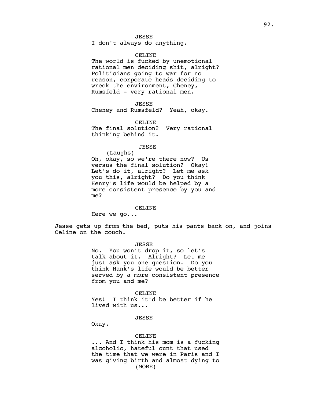I don't always do anything.

## CELINE

The world is fucked by unemotional rational men deciding shit, alright? Politicians going to war for no reason, corporate heads deciding to wreck the environment, Cheney, Rumsfeld - very rational men.

JESSE Cheney and Rumsfeld? Yeah, okay.

CELINE The final solution? Very rational thinking behind it.

#### JESSE

(Laughs) Oh, okay, so we're there now? Us versus the final solution? Okay! Let's do it, alright? Let me ask you this, alright? Do you think Henry's life would be helped by a more consistent presence by you and me?

#### CELINE

Here we go...

Jesse gets up from the bed, puts his pants back on, and joins Celine on the couch.

#### JESSE

No. You won't drop it, so let's talk about it. Alright? Let me just ask you one question. Do you think Hank's life would be better served by a more consistent presence from you and me?

### CELINE

Yes! I think it'd be better if he lived with us...

# JESSE

Okay.

# CELINE

... And I think his mom is a fucking alcoholic, hateful cunt that used the time that we were in Paris and I was giving birth and almost dying to (MORE)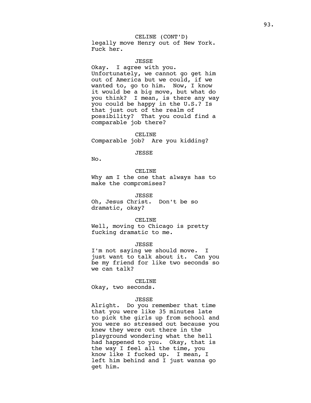CELINE (CONT'D) legally move Henry out of New York. Fuck her.

JESSE

Okay. I agree with you. Unfortunately, we cannot go get him out of America but we could, if we wanted to, go to him. Now, I know it would be a big move, but what do you think? I mean, is there any way you could be happy in the U.S.? Is that just out of the realm of possibility? That you could find a comparable job there?

CELINE Comparable job? Are you kidding?

JESSE

No.

## CELINE

Why am I the one that always has to make the compromises?

### JESSE

Oh, Jesus Christ. Don't be so dramatic, okay?

#### CELINE

Well, moving to Chicago is pretty fucking dramatic to me.

JESSE

I'm not saying we should move. I just want to talk about it. Can you be my friend for like two seconds so we can talk?

#### CELINE

Okay, two seconds.

#### JESSE

Alright. Do you remember that time that you were like 35 minutes late to pick the girls up from school and you were so stressed out because you knew they were out there in the playground wondering what the hell had happened to you. Okay, that is the way I feel all the time, you know like I fucked up. I mean, I left him behind and I just wanna go get him.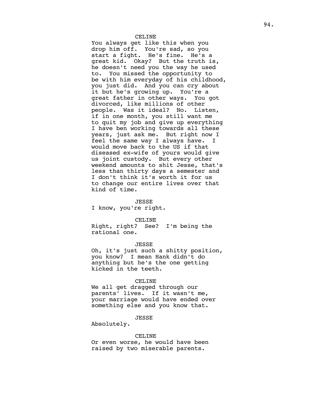You always get like this when you drop him off. You're sad, so you start a fight. He's fine. He's a great kid. Okay? But the truth is, he doesn't need you the way he used to. You missed the opportunity to be with him everyday of his childhood, you just did. And you can cry about<br>it but he's growing up. You're a it but he's growing up. great father in other ways. You got divorced, like millions of other people. Was it ideal? No. Listen, if in one month, you still want me to quit my job and give up everything I have ben working towards all these years, just ask me. But right now I feel the same way I always have. I would move back to the US if that diseased ex-wife of yours would give us joint custody. But every other weekend amounts to shit Jesse, that's less than thirty days a semester and I don't think it's worth it for us to change our entire lives over that kind of time.

#### JESSE

I know, you're right.

#### CELINE

Right, right? See? I'm being the rational one.

#### JESSE

Oh, it's just such a shitty position, you know? I mean Hank didn't do anything but he's the one getting kicked in the teeth.

### CELINE

We all get dragged through our parents' lives. If it wasn't me, your marriage would have ended over something else and you know that.

# JESSE

Absolutely.

# CELINE

Or even worse, he would have been raised by two miserable parents.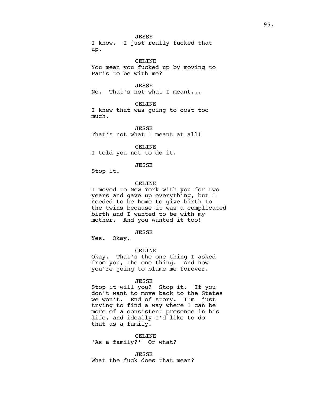JESSE I know. I just really fucked that up.

CELINE You mean you fucked up by moving to Paris to be with me?

JESSE No. That's not what I meant...

CELINE I knew that was going to cost too much.

JESSE That's not what I meant at all!

CELINE I told you not to do it.

JESSE

Stop it.

# CELINE

I moved to New York with you for two years and gave up everything, but I needed to be home to give birth to the twins because it was a complicated birth and I wanted to be with my mother. And you wanted it too!

# JESSE

Yes. Okay.

## CELINE

Okay. That's the one thing I asked from you, the one thing. And now you're going to blame me forever.

### JESSE

Stop it will you? Stop it. If you don't want to move back to the States we won't. End of story. I'm just trying to find a way where I can be more of a consistent presence in his life, and ideally I'd like to do that as a family.

CELINE 'As a family?' Or what?

JESSE What the fuck does that mean?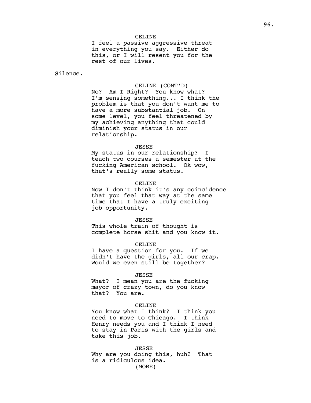I feel a passive aggressive threat in everything you say. Either do this, or I will resent you for the rest of our lives.

Silence.

### CELINE (CONT'D)

No? Am I Right? You know what? I'm sensing something... I think the problem is that you don't want me to have a more substantial job. On some level, you feel threatened by my achieving anything that could diminish your status in our relationship.

#### JESSE

My status in our relationship? I teach two courses a semester at the fucking American school. Ok wow, that's really some status.

### CELINE

Now I don't think it's any coincidence that you feel that way at the same time that I have a truly exciting job opportunity.

#### JESSE

This whole train of thought is complete horse shit and you know it.

#### CELINE

I have a question for you. If we didn't have the girls, all our crap. Would we even still be together?

#### JESSE

What? I mean you are the fucking mayor of crazy town, do you know that? You are.

# CELINE

You know what I think? I think you need to move to Chicago. I think Henry needs you and I think I need to stay in Paris with the girls and take this job.

JESSE Why are you doing this, huh? That is a ridiculous idea. (MORE)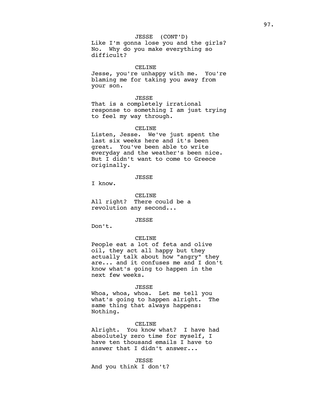# JESSE (CONT'D)

Like I'm gonna lose you and the girls? No. Why do you make everything so difficult?

# CELINE

Jesse, you're unhappy with me. You're blaming me for taking you away from your son.

## JESSE

That is a completely irrational response to something I am just trying to feel my way through.

## CELINE

Listen, Jesse. We've just spent the last six weeks here and it's been great. You've been able to write everyday and the weather's been nice. But I didn't want to come to Greece originally.

# JESSE

I know.

CELINE All right? There could be a revolution any second...

JESSE

Don't.

## CELINE

People eat a lot of feta and olive oil, they act all happy but they actually talk about how "angry" they are... and it confuses me and I don't know what's going to happen in the next few weeks.

#### JESSE

Whoa, whoa, whoa. Let me tell you what's going to happen alright. The same thing that always happens: Nothing.

### CELINE

Alright. You know what? I have had absolutely zero time for myself, I have ten thousand emails I have to answer that I didn't answer...

JESSE And you think I don't?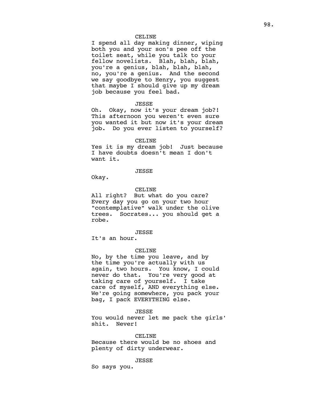I spend all day making dinner, wiping both you and your son's pee off the toilet seat, while you talk to your fellow novelists. Blah, blah, blah, you're a genius, blah, blah, blah, no, you're a genius. And the second we say goodbye to Henry, you suggest that maybe I should give up my dream job because you feel bad.

# JESSE

Oh. Okay, now it's your dream job?! This afternoon you weren't even sure you wanted it but now it's your dream job. Do you ever listen to yourself?

#### CELINE

Yes it is my dream job! Just because I have doubts doesn't mean I don't want it.

# JESSE

Okay.

### CELINE

All right? But what do you care? Every day you go on your two hour "contemplative" walk under the olive trees. Socrates... you should get a robe.

### JESSE

It's an hour.

#### CELINE

No, by the time you leave, and by the time you're actually with us again, two hours. You know, I could never do that. You're very good at taking care of yourself. I take care of myself, AND everything else. We're going somewhere, you pack your bag, I pack EVERYTHING else.

#### JESSE

You would never let me pack the girls' shit. Never!

# CELINE

Because there would be no shoes and plenty of dirty underwear.

# JESSE

So says you.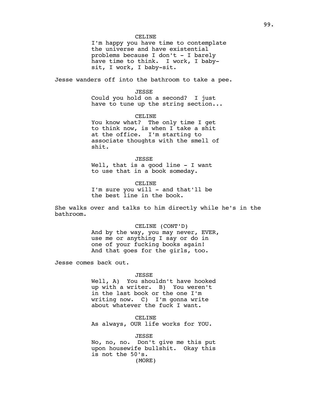I'm happy you have time to contemplate the universe and have existential problems because I don't  $-$  I barely have time to think. I work, I babysit, I work, I baby-sit.

Jesse wanders off into the bathroom to take a pee.

# JESSE

Could you hold on a second? I just have to tune up the string section...

# CELINE

You know what? The only time I get to think now, is when I take a shit at the office. I'm starting to associate thoughts with the smell of shit.

## JESSE

Well, that is a good line - I want to use that in a book someday.

### CELINE

I'm sure you will - and that'll be the best line in the book.

She walks over and talks to him directly while he's in the bathroom.

# CELINE (CONT'D)

And by the way, you may never, EVER, use me or anything I say or do in one of your fucking books again! And that goes for the girls, too.

Jesse comes back out.

### JESSE

Well, A) You shouldn't have hooked up with a writer. B) You weren't in the last book or the one I'm writing now. C) I'm gonna write about whatever the fuck I want.

CELINE As always, OUR life works for YOU.

JESSE

No, no, no. Don't give me this put upon housewife bullshit. Okay this is not the 50's. (MORE)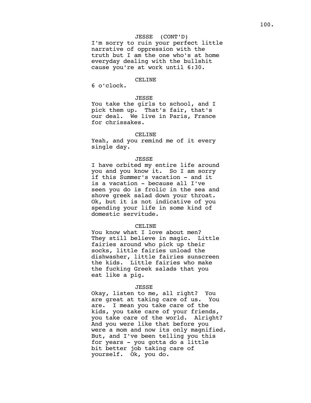# JESSE (CONT'D)

I'm sorry to ruin your perfect little narrative of oppression with the truth but I am the one who's at home everyday dealing with the bullshit cause you're at work until 6:30.

# CELINE

6 o'clock.

# JESSE

You take the girls to school, and I pick them up. That's fair, that's our deal. We live in Paris, France for chrissakes.

# CELINE

Yeah, and you remind me of it every single day.

## JESSE

I have orbited my entire life around you and you know it. So I am sorry if this Summer's vacation - and it is a vacation - because all I've seen you do is frolic in the sea and shove greek salad down your throat. Ok, but it is not indicative of you spending your life in some kind of domestic servitude.

## CELINE

You know what I love about men? They still believe in magic. Little fairies around who pick up their socks, little fairies unload the dishwasher, little fairies sunscreen the kids. Little fairies who make the fucking Greek salads that you eat like a pig.

#### JESSE

Okay, listen to me, all right? You are great at taking care of us. You are. I mean you take care of the kids, you take care of your friends, you take care of the world. Alright? And you were like that before you were a mom and now its only magnified. But, and I've been telling you this for years - you gotta do a little bit better job taking care of yourself. Ok, you do.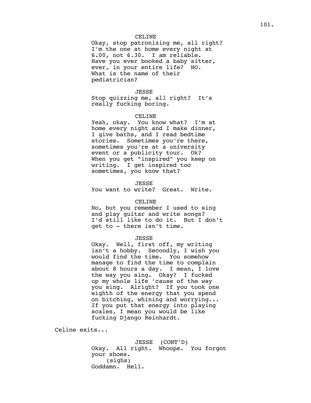Okay, stop patronizing me, all right? I'm the one at home every night at 6.00, not 6.30. I am reliable. Have you ever booked a baby sitter, ever, in your entire life? NO. What is the name of their pediatrician?

# JESSE

Stop quizzing me, all right? It's really fucking boring.

# CELINE

Yeah, okay. You know what? I'm at home every night and I make dinner, I give baths, and I read bedtime stories. Sometimes you're there, sometimes you're at a university event or a publicity tour. Ok? When you get "inspired" you keep on writing. I get inspired too sometimes, you know that?

JESSE

You want to write? Great. Write.

## CELINE

No, but you remember I used to sing and play guitar and write songs? I'd still like to do it. But I don't get to - there isn't time.

# JESSE

Okay. Well, first off, my writing isn't a hobby. Secondly, I wish you would find the time. You somehow manage to find the time to complain about 8 hours a day. I mean, I love the way you sing. Okay? I fucked up my whole life 'cause of the way you sing. Alright? If you took one eighth of the energy that you spend on bitching, whining and worrying... If you put that energy into playing scales, I mean you would be like fucking Django Reinhardt.

Celine exits...

JESSE (CONT'D) Okay. All right. Whoops. You forgot your shoes. (sighs) Goddamn. Hell.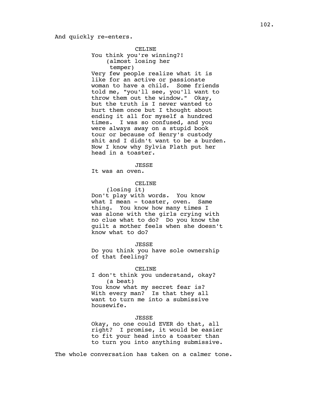# And quickly re-enters.

CELINE You think you're winning?! (almost losing her temper) Very few people realize what it is like for an active or passionate woman to have a child. Some friends told me, "you'll see, you'll want to throw them out the window." Okay, but the truth is I never wanted to hurt them once but I thought about ending it all for myself a hundred times. I was so confused, and you were always away on a stupid book tour or because of Henry's custody shit and I didn't want to be a burden. Now I know why Sylvia Plath put her head in a toaster.

JESSE

It was an oven.

## CELINE

(losing it) Don't play with words. You know what I mean - toaster, oven. Same thing. You know how many times I was alone with the girls crying with no clue what to do? Do you know the guilt a mother feels when she doesn't know what to do?

JESSE

Do you think you have sole ownership of that feeling?

CELINE

I don't think you understand, okay? (a beat) You know what my secret fear is?

With every man? Is that they all want to turn me into a submissive housewife.

# JESSE

Okay, no one could EVER do that, all right? I promise, it would be easier to fit your head into a toaster than to turn you into anything submissive.

The whole conversation has taken on a calmer tone.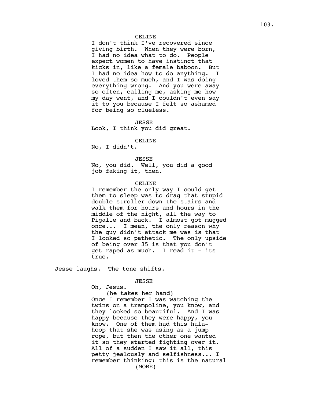I don't think I've recovered since giving birth. When they were born, I had no idea what to do. People expect women to have instinct that kicks in, like a female baboon. But I had no idea how to do anything. I loved them so much, and I was doing everything wrong. And you were away so often, calling me, asking me how my day went, and I couldn't even say it to you because I felt so ashamed for being so clueless.

JESSE Look, I think you did great.

#### CELINE

No, I didn't.

# JESSE

No, you did. Well, you did a good job faking it, then.

## CELINE

I remember the only way I could get them to sleep was to drag that stupid double stroller down the stairs and walk them for hours and hours in the middle of the night, all the way to Pigalle and back. I almost got mugged once... I mean, the only reason why the guy didn't attack me was is that I looked so pathetic. The only upside of being over 35 is that you don't get raped as much. I read it - its true.

Jesse laughs. The tone shifts.

### JESSE

Oh, Jesus.

(he takes her hand)

Once I remember I was watching the twins on a trampoline, you know, and they looked so beautiful. And I was happy because they were happy, you know. One of them had this hulahoop that she was using as a jump rope, but then the other one wanted it so they started fighting over it. All of a sudden I saw it all, this petty jealously and selfishness... I remember thinking: this is the natural (MORE)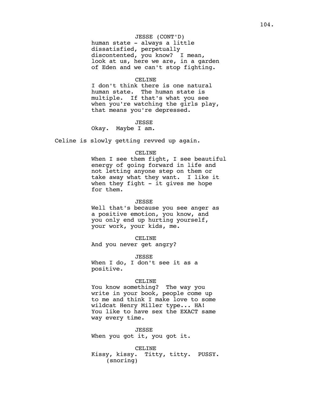# JESSE (CONT'D)

human state - always a little dissatisfied, perpetually discontented, you know? I mean, look at us, here we are, in a garden of Eden and we can't stop fighting.

## CELINE

I don't think there is one natural human state. The human state is multiple. If that's what you see when you're watching the girls play, that means you're depressed.

JESSE

Okay. Maybe I am.

Celine is slowly getting revved up again.

### CELINE

When I see them fight, I see beautiful energy of going forward in life and not letting anyone step on them or take away what they want. I like it when they fight  $-$  it gives me hope for them.

## JESSE

Well that's because you see anger as a positive emotion, you know, and you only end up hurting yourself, your work, your kids, me.

CELINE

And you never get angry?

JESSE

When I do, I don't see it as a positive.

### CELINE

You know something? The way you write in your book, people come up to me and think I make love to some wildcat Henry Miller type... HA! You like to have sex the EXACT same way every time.

JESSE

When you got it, you got it.

CELINE Kissy, kissy. Titty, titty. PUSSY. (snoring)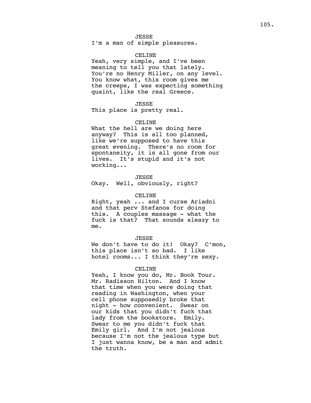I'm a man of simple pleasures.

## CELINE

Yeah, very simple, and I've been meaning to tell you that lately. You're no Henry Miller, on any level. You know what, this room gives me the creeps, I was expecting something quaint, like the real Greece.

#### JESSE

This place is pretty real.

## CELINE

What the hell are we doing here anyway? This is all too planned, like we're supposed to have this great evening. There's no room for spontaneity, it is all gone from our lives. It's stupid and it's not working...

# JESSE

Okay. Well, obviously, right?

#### CELINE

Right, yeah ... and I curse Ariadni and that perv Stefanos for doing this. A couples massage - what the fuck is that? That sounds sleazy to me.

## JESSE

We don't have to do it! Okay? C'mon, this place isn't so bad. I like hotel rooms... I think they're sexy.

#### CELINE

Yeah, I know you do, Mr. Book Tour. Mr. Radisson Hilton. And I know that time when you were doing that reading in Washington, when your cell phone supposedly broke that night - how convenient. Swear on our kids that you didn't fuck that lady from the bookstore. Emily. Swear to me you didn't fuck that Emily girl. And I'm not jealous because I'm not the jealous type but I just wanna know, be a man and admit the truth.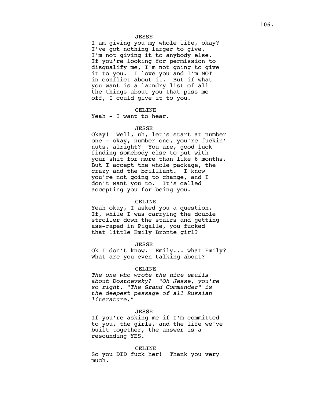## JESSE

I am giving you my whole life, okay? I've got nothing larger to give. I'm not giving it to anybody else. If you're looking for permission to disqualify me, I'm not going to give it to you. I love you and I'm NOT in conflict about it. But if what you want is a laundry list of all the things about you that piss me off, I could give it to you.

# CELINE

Yeah - I want to hear.

#### JESSE

Okay! Well, uh, let's start at number one - okay, number one, you're fuckin' nuts, alright? You are, good luck finding somebody else to put with your shit for more than like 6 months. But I accept the whole package, the crazy and the brilliant. I know you're not going to change, and I don't want you to. It's called accepting you for being you.

#### CELINE

Yeah okay, I asked you a question. If, while I was carrying the double stroller down the stairs and getting ass-raped in Pigalle, you fucked that little Emily Bronte girl?

JESSE

Ok I don't know. Emily... what Emily? What are you even talking about?

#### CELINE

*The one who wrote the nice emails about Dostoevsky? "Oh Jesse, you're so right, "The Grand Commander" is the deepest passage of all Russian literature."* 

#### JESSE

If you're asking me if I'm committed to you, the girls, and the life we've built together, the answer is a resounding YES.

### CELINE

So you DID fuck her! Thank you very much.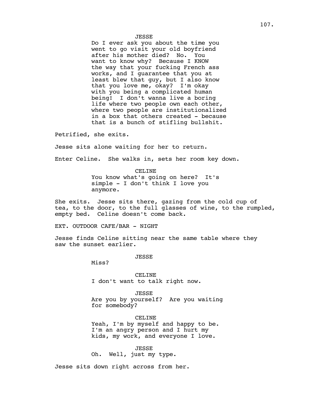Do I ever ask you about the time you went to go visit your old boyfriend after his mother died? No. You want to know why? Because I KNOW the way that your fucking French ass works, and I guarantee that you at least blew that guy, but I also know that you love me, okay? I'm okay with you being a complicated human<br>being! I don't wanna live a borin I don't wanna live a boring life where two people own each other, where two people are institutionalized in a box that others created - because that is a bunch of stifling bullshit.

Petrified, she exits.

Jesse sits alone waiting for her to return.

Enter Celine. She walks in, sets her room key down.

CELINE You know what's going on here? It's simple - I don't think I love you anymore.

She exits. Jesse sits there, gazing from the cold cup of tea, to the door, to the full glasses of wine, to the rumpled, empty bed. Celine doesn't come back.

EXT. OUTDOOR CAFE/BAR - NIGHT

Jesse finds Celine sitting near the same table where they saw the sunset earlier.

JESSE

Miss?

CELINE I don't want to talk right now.

JESSE Are you by yourself? Are you waiting for somebody?

CELINE Yeah, I'm by myself and happy to be. I'm an angry person and I hurt my kids, my work, and everyone I love.

JESSE Oh. Well, just my type.

Jesse sits down right across from her.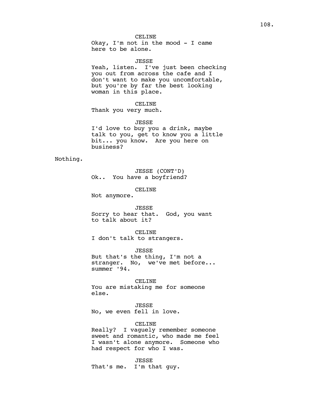Okay, I'm not in the mood - I came here to be alone.

JESSE

Yeah, listen. I've just been checking you out from across the cafe and I don't want to make you uncomfortable, but you're by far the best looking woman in this place.

CELINE Thank you very much.

JESSE

I'd love to buy you a drink, maybe talk to you, get to know you a little bit... you know. Are you here on business?

Nothing.

JESSE (CONT'D) Ok.. You have a boyfriend?

CELINE

Not anymore.

### JESSE

Sorry to hear that. God, you want to talk about it?

CELINE

I don't talk to strangers.

JESSE

But that's the thing, I'm not a stranger. No, we've met before... summer '94.

CELINE

You are mistaking me for someone else.

JESSE No, we even fell in love.

# CELINE

Really? I vaguely remember someone sweet and romantic, who made me feel I wasn't alone anymore. Someone who had respect for who I was.

JESSE That's me. I'm that guy.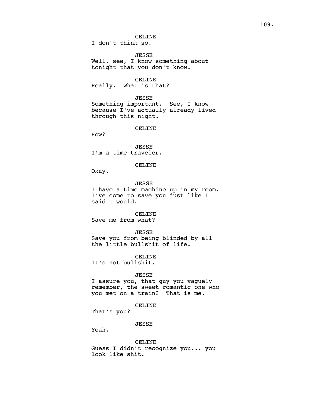# CELINE

I don't think so.

JESSE

Well, see, I know something about tonight that you don't know.

# CELINE

Really. What is that?

# JESSE

Something important. See, I know because I've actually already lived through this night.

CELINE

How?

JESSE I'm a time traveler.

# CELINE

Okay.

JESSE I have a time machine up in my room. I've come to save you just like I said I would.

CELINE Save me from what?

JESSE

Save you from being blinded by all the little bullshit of life.

CELINE

It's not bullshit.

### JESSE

I assure you, that guy you vaguely remember, the sweet romantic one who you met on a train? That is me.

CELINE

That's you?

### JESSE

Yeah.

CELINE Guess I didn't recognize you... you look like shit.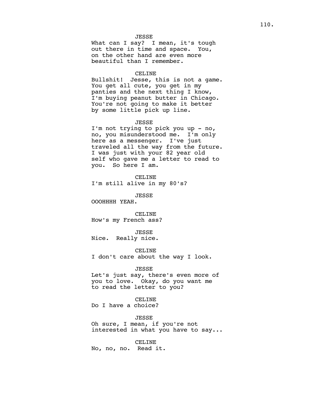# JESSE

What can I say? I mean, it's tough out there in time and space. You, on the other hand are even more beautiful than I remember.

#### CELINE

Bullshit! Jesse, this is not a game. You get all cute, you get in my panties and the next thing I know, I'm buying peanut butter in Chicago. You're not going to make it better by some little pick up line.

### JESSE

I'm not trying to pick you up - no, no, you misunderstood me. I'm only here as a messenger. I've just traveled all the way from the future. I was just with your 82 year old self who gave me a letter to read to you. So here I am.

CELINE I'm still alive in my 80's?

JESSE

OOOHHHH YEAH.

CELINE How's my French ass?

JESSE

Nice. Really nice.

CELINE

I don't care about the way I look.

### JESSE

Let's just say, there's even more of you to love. Okay, do you want me to read the letter to you?

CELINE

Do I have a choice?

# JESSE

Oh sure, I mean, if you're not interested in what you have to say...

CELINE

No, no, no. Read it.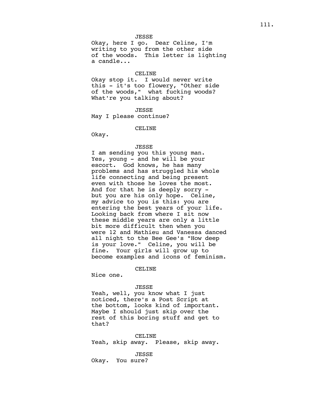### JESSE

Okay, here I go. Dear Celine, I'm writing to you from the other side of the woods. This letter is lighting a candle...

#### CELINE

Okay stop it. I would never write this - it's too flowery, "Other side of the woods," what fucking woods? What're you talking about?

JESSE May I please continue?

### CELINE

Okay.

#### JESSE

I am sending you this young man. Yes, young - and he will be your escort. God knows, he has many problems and has struggled his whole life connecting and being present even with those he loves the most. And for that he is deeply sorry but you are his only hope. Celine, my advice to you is this: you are entering the best years of your life. Looking back from where I sit now these middle years are only a little bit more difficult then when you were 12 and Mathieu and Vanessa danced all night to the Bee Gee's "How deep is your love." Celine, you will be fine. Your girls will grow up to become examples and icons of feminism.

# CELINE

Nice one.

### JESSE

Yeah, well, you know what I just noticed, there's a Post Script at the bottom, looks kind of important. Maybe I should just skip over the rest of this boring stuff and get to that?

CELINE Yeah, skip away. Please, skip away.

JESSE Okay. You sure?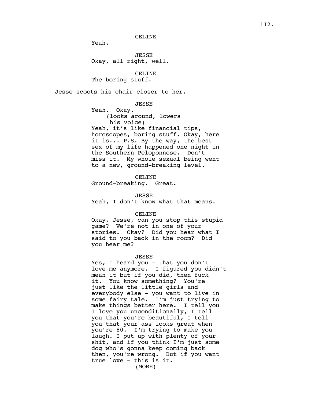Yeah.

JESSE Okay, all right, well.

CELINE The boring stuff.

Jesse scoots his chair closer to her.

JESSE

Yeah. Okay. (looks around, lowers his voice) Yeah, it's like financial tips, horoscopes, boring stuff. Okay, here it is... P.S. By the way, the best sex of my life happened one night in the Southern Peloponnese. Don't miss it. My whole sexual being went to a new, ground-breaking level.

CELINE Ground-breaking. Great.

JESSE Yeah, I don't know what that means.

CELINE

Okay, Jesse, can you stop this stupid game? We're not in one of your stories. Okay? Did you hear what I said to you back in the room? Did you hear me?

### JESSE

Yes, I heard you - that you don't love me anymore. I figured you didn't mean it but if you did, then fuck it. You know something? You're just like the little girls and everybody else - you want to live in some fairy tale. I'm just trying to make things better here. I tell you I love you unconditionally, I tell you that you're beautiful, I tell you that your ass looks great when you're 80. I'm trying to make you laugh. I put up with plenty of your shit, and if you think I'm just some dog who's gonna keep coming back then, you're wrong. But if you want true love - this is it. (MORE)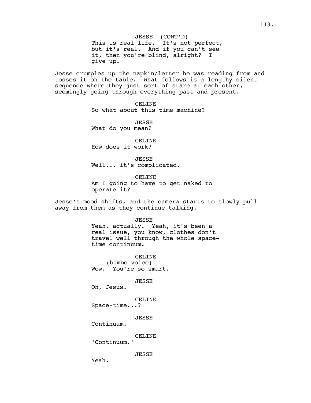JESSE (CONT'D) This is real life. It's not perfect, but it's real. And if you can't see it, then you're blind, alright? I give up.

Jesse crumples up the napkin/letter he was reading from and tosses it on the table. What follows is a lengthy silent sequence where they just sort of stare at each other, seemingly going through everything past and present.

> CELINE So what about this time machine?

JESSE What do you mean?

CELINE How does it work?

JESSE Well... it's complicated.

CELINE Am I going to have to get naked to operate it?

Jesse's mood shifts, and the camera starts to slowly pull away from them as they continue talking.

> JESSE Yeah, actually. Yeah, it's been a real issue, you know, clothes don't travel well through the whole spacetime continuum.

CELINE (bimbo voice) Wow. You're so smart.

JESSE

Oh, Jesus.

CELINE

Space-time...?

JESSE

Continuum.

CELINE

'Continuum.'

JESSE

Yeah.